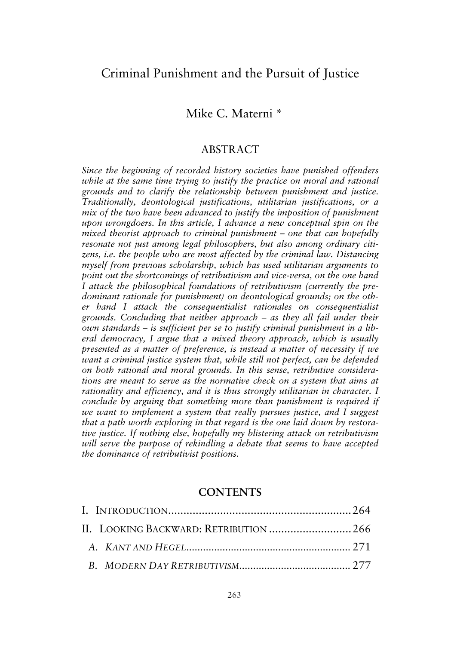# Criminal Punishment and the Pursuit of Justice

## Mike C. Materni \*

## ABSTRACT

*Since the beginning of recorded history societies have punished offenders while at the same time trying to justify the practice on moral and rational grounds and to clarify the relationship between punishment and justice. Traditionally, deontological justifications, utilitarian justifications, or a mix of the two have been advanced to justify the imposition of punishment upon wrongdoers. In this article, I advance a new conceptual spin on the mixed theorist approach to criminal punishment – one that can hopefully resonate not just among legal philosophers, but also among ordinary citizens, i.e. the people who are most affected by the criminal law. Distancing myself from previous scholarship, which has used utilitarian arguments to point out the shortcomings of retributivism and vice-versa, on the one hand I attack the philosophical foundations of retributivism (currently the predominant rationale for punishment) on deontological grounds; on the other hand I attack the consequentialist rationales on consequentialist grounds. Concluding that neither approach – as they all fail under their own standards – is sufficient per se to justify criminal punishment in a liberal democracy, I argue that a mixed theory approach, which is usually presented as a matter of preference, is instead a matter of necessity if we want a criminal justice system that, while still not perfect, can be defended on both rational and moral grounds. In this sense, retributive considerations are meant to serve as the normative check on a system that aims at rationality and efficiency, and it is thus strongly utilitarian in character. I conclude by arguing that something more than punishment is required if we want to implement a system that really pursues justice, and I suggest that a path worth exploring in that regard is the one laid down by restorative justice. If nothing else, hopefully my blistering attack on retributivism will serve the purpose of rekindling a debate that seems to have accepted the dominance of retributivist positions.* 

## **CONTENTS**

| II. LOOKING BACKWARD: RETRIBUTION 266 |  |
|---------------------------------------|--|
|                                       |  |
|                                       |  |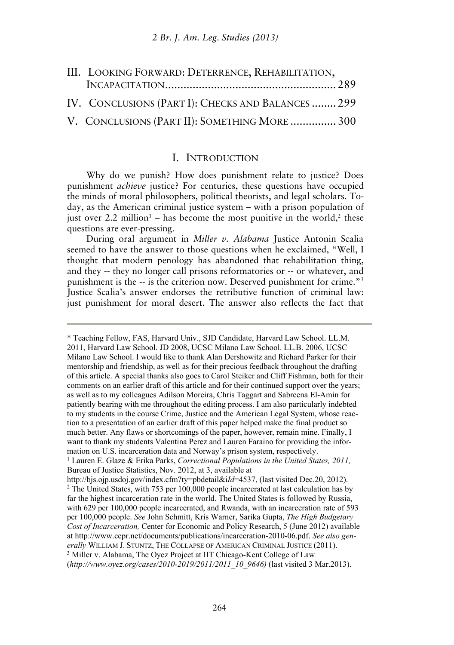| III. LOOKING FORWARD: DETERRENCE, REHABILITATION,  |  |
|----------------------------------------------------|--|
|                                                    |  |
| IV. CONCLUSIONS (PART I): CHECKS AND BALANCES  299 |  |
| V. CONCLUSIONS (PART II): SOMETHING MORE  300      |  |

#### I. INTRODUCTION

Why do we punish? How does punishment relate to justice? Does punishment *achieve* justice? For centuries, these questions have occupied the minds of moral philosophers, political theorists, and legal scholars. Today, as the American criminal justice system – with a prison population of just over 2.2 million<sup>1</sup> – has become the most punitive in the world,<sup>2</sup> these questions are ever-pressing.

During oral argument in *Miller v. Alabama* Justice Antonin Scalia seemed to have the answer to those questions when he exclaimed, "Well, I thought that modern penology has abandoned that rehabilitation thing, and they -- they no longer call prisons reformatories or -- or whatever, and punishment is the -- is the criterion now. Deserved punishment for crime."3 Justice Scalia's answer endorses the retributive function of criminal law: just punishment for moral desert. The answer also reflects the fact that

<sup>\*</sup> Teaching Fellow, FAS, Harvard Univ., SJD Candidate, Harvard Law School. LL.M. 2011, Harvard Law School. JD 2008, UCSC Milano Law School. LL.B. 2006, UCSC Milano Law School. I would like to thank Alan Dershowitz and Richard Parker for their mentorship and friendship, as well as for their precious feedback throughout the drafting of this article. A special thanks also goes to Carol Steiker and Cliff Fishman, both for their comments on an earlier draft of this article and for their continued support over the years; as well as to my colleagues Adilson Moreira, Chris Taggart and Sabreena El-Amin for patiently bearing with me throughout the editing process. I am also particularly indebted to my students in the course Crime, Justice and the American Legal System, whose reaction to a presentation of an earlier draft of this paper helped make the final product so much better. Any flaws or shortcomings of the paper, however, remain mine. Finally, I want to thank my students Valentina Perez and Lauren Faraino for providing the information on U.S. incarceration data and Norway's prison system, respectively. 1 Lauren E. Glaze & Erika Parks, *Correctional Populations in the United States, 2011,* 

Bureau of Justice Statistics, Nov. 2012, at 3, available at http://bis.oip.usdoj.gov/index.cfm?ty=pbdetail&iId=4537. (last visited Dec.20. 2012).

<sup>&</sup>lt;sup>2</sup> The United States, with 753 per 100,000 people incarcerated at last calculation has by far the highest incarceration rate in the world. The United States is followed by Russia, with 629 per 100,000 people incarcerated, and Rwanda, with an incarceration rate of 593 per 100,000 people. *See* John Schmitt, Kris Warner, Sarika Gupta, *The High Budgetary Cost of Incarceration,* Center for Economic and Policy Research, 5 (June 2012) available at http://www.cepr.net/documents/publications/incarceration-2010-06.pdf. *See also gen-*<sup>3</sup> Miller v. Alabama, The Oyez Project at IIT Chicago-Kent College of Law (*http://www.oyez.org/cases/2010-2019/2011/2011\_10\_9646)* (last visited 3 Mar.2013).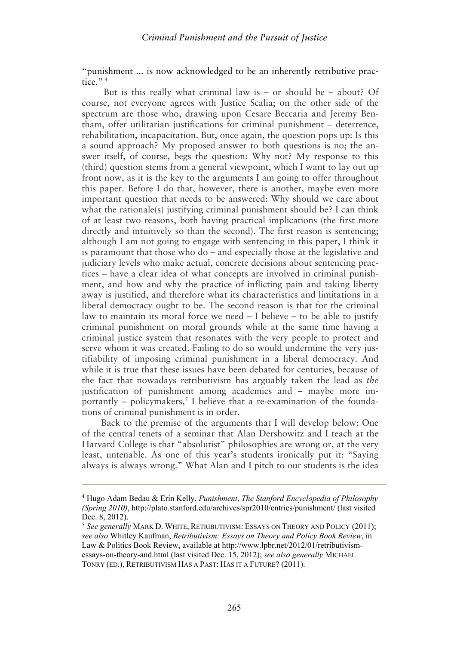"punishment ... is now acknowledged to be an inherently retributive practice." $4$ 

 But is this really what criminal law is – or should be – about? Of course, not everyone agrees with Justice Scalia; on the other side of the spectrum are those who, drawing upon Cesare Beccaria and Jeremy Bentham, offer utilitarian justifications for criminal punishment – deterrence, rehabilitation, incapacitation. But, once again, the question pops up: Is this a sound approach? My proposed answer to both questions is no; the answer itself, of course, begs the question: Why not? My response to this (third) question stems from a general viewpoint, which I want to lay out up front now, as it is the key to the arguments I am going to offer throughout this paper. Before I do that, however, there is another, maybe even more important question that needs to be answered: Why should we care about what the rationale(s) justifying criminal punishment should be? I can think of at least two reasons, both having practical implications (the first more directly and intuitively so than the second). The first reason is sentencing; although I am not going to engage with sentencing in this paper, I think it is paramount that those who do – and especially those at the legislative and judiciary levels who make actual, concrete decisions about sentencing practices – have a clear idea of what concepts are involved in criminal punishment, and how and why the practice of inflicting pain and taking liberty away is justified, and therefore what its characteristics and limitations in a liberal democracy ought to be. The second reason is that for the criminal law to maintain its moral force we need – I believe – to be able to justify criminal punishment on moral grounds while at the same time having a criminal justice system that resonates with the very people to protect and serve whom it was created. Failing to do so would undermine the very justifiability of imposing criminal punishment in a liberal democracy. And while it is true that these issues have been debated for centuries, because of the fact that nowadays retributivism has arguably taken the lead as *the* justification of punishment among academics and – maybe more importantly – policymakers,<sup>5</sup> I believe that a re-examination of the foundations of criminal punishment is in order.

Back to the premise of the arguments that I will develop below: One of the central tenets of a seminar that Alan Dershowitz and I teach at the Harvard College is that "absolutist" philosophies are wrong or, at the very least, untenable. As one of this year's students ironically put it: "Saying always is always wrong." What Alan and I pitch to our students is the idea

<sup>4</sup> Hugo Adam Bedau & Erin Kelly, *Punishment*, *The Stanford Encyclopedia of Philosophy (Spring 2010)*, http://plato.stanford.edu/archives/spr2010/entries/punishment/ (last visited Dec. 8, 2012).

<sup>5</sup> *See generally* MARK D. WHITE, RETRIBUTIVISM: ESSAYS ON THEORY AND POLICY (2011); *see also* Whitley Kaufman, *Retributivism: Essays on Theory and Policy Book Review*, in Law & Politics Book Review, available at http://www.lpbr.net/2012/01/retributivismessays-on-theory-and.html (last visited Dec. 15, 2012); *see also generally* MICHAEL TONRY (ED.), RETRIBUTIVISM HAS A PAST: HAS IT A FUTURE? (2011).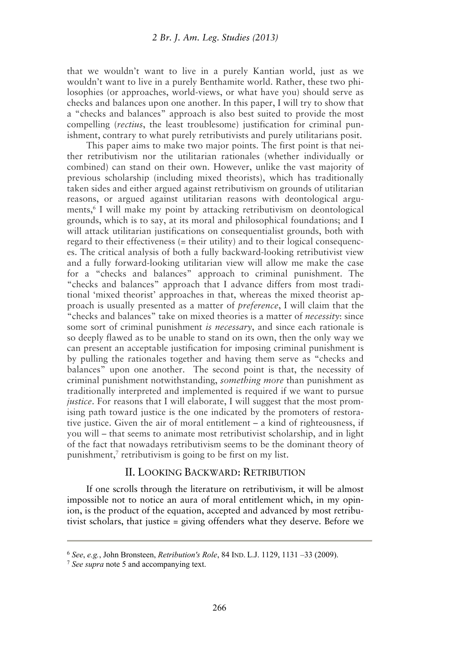that we wouldn't want to live in a purely Kantian world, just as we wouldn't want to live in a purely Benthamite world. Rather, these two philosophies (or approaches, world-views, or what have you) should serve as checks and balances upon one another. In this paper, I will try to show that a "checks and balances" approach is also best suited to provide the most compelling (*rectius*, the least troublesome) justification for criminal punishment, contrary to what purely retributivists and purely utilitarians posit.

This paper aims to make two major points. The first point is that neither retributivism nor the utilitarian rationales (whether individually or combined) can stand on their own. However, unlike the vast majority of previous scholarship (including mixed theorists), which has traditionally taken sides and either argued against retributivism on grounds of utilitarian reasons, or argued against utilitarian reasons with deontological arguments,<sup>6</sup> I will make my point by attacking retributivism on deontological grounds, which is to say, at its moral and philosophical foundations; and I will attack utilitarian justifications on consequentialist grounds, both with regard to their effectiveness (= their utility) and to their logical consequences. The critical analysis of both a fully backward-looking retributivist view and a fully forward-looking utilitarian view will allow me make the case for a "checks and balances" approach to criminal punishment. The "checks and balances" approach that I advance differs from most traditional 'mixed theorist' approaches in that, whereas the mixed theorist approach is usually presented as a matter of *preference*, I will claim that the "checks and balances" take on mixed theories is a matter of *necessity*: since some sort of criminal punishment *is necessary*, and since each rationale is so deeply flawed as to be unable to stand on its own, then the only way we can present an acceptable justification for imposing criminal punishment is by pulling the rationales together and having them serve as "checks and balances" upon one another. The second point is that, the necessity of criminal punishment notwithstanding, *something more* than punishment as traditionally interpreted and implemented is required if we want to pursue *justice*. For reasons that I will elaborate, I will suggest that the most promising path toward justice is the one indicated by the promoters of restorative justice. Given the air of moral entitlement – a kind of righteousness, if you will – that seems to animate most retributivist scholarship, and in light of the fact that nowadays retributivism seems to be the dominant theory of punishment,<sup>7</sup> retributivism is going to be first on my list.

## II. LOOKING BACKWARD: RETRIBUTION

If one scrolls through the literature on retributivism, it will be almost impossible not to notice an aura of moral entitlement which, in my opinion, is the product of the equation, accepted and advanced by most retributivist scholars, that justice = giving offenders what they deserve. Before we

<sup>6</sup> *See*, *e.g.*, John Bronsteen, *Retribution's Role*, 84 IND. L.J. 1129, 1131 –33 (2009). 7 *See supra* note 5 and accompanying text.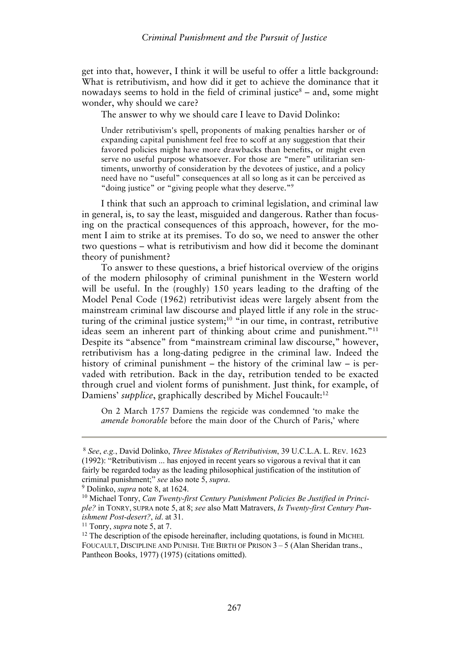get into that, however, I think it will be useful to offer a little background: What is retributivism, and how did it get to achieve the dominance that it nowadays seems to hold in the field of criminal justice $\delta$  – and, some might wonder, why should we care?

The answer to why we should care I leave to David Dolinko:

Under retributivism's spell, proponents of making penalties harsher or of expanding capital punishment feel free to scoff at any suggestion that their favored policies might have more drawbacks than benefits, or might even serve no useful purpose whatsoever. For those are "mere" utilitarian sentiments, unworthy of consideration by the devotees of justice, and a policy need have no "useful" consequences at all so long as it can be perceived as "doing justice" or "giving people what they deserve."9

I think that such an approach to criminal legislation, and criminal law in general, is, to say the least, misguided and dangerous. Rather than focusing on the practical consequences of this approach, however, for the moment I aim to strike at its premises. To do so, we need to answer the other two questions – what is retributivism and how did it become the dominant theory of punishment?

To answer to these questions, a brief historical overview of the origins of the modern philosophy of criminal punishment in the Western world will be useful. In the (roughly) 150 years leading to the drafting of the Model Penal Code (1962) retributivist ideas were largely absent from the mainstream criminal law discourse and played little if any role in the structuring of the criminal justice system;<sup>10</sup> "in our time, in contrast, retributive ideas seem an inherent part of thinking about crime and punishment."<sup>11</sup> Despite its "absence" from "mainstream criminal law discourse," however, retributivism has a long-dating pedigree in the criminal law. Indeed the history of criminal punishment – the history of the criminal law – is pervaded with retribution. Back in the day, retribution tended to be exacted through cruel and violent forms of punishment. Just think, for example, of Damiens' *supplice*, graphically described by Michel Foucault:<sup>12</sup>

On 2 March 1757 Damiens the regicide was condemned 'to make the *amende honorable* before the main door of the Church of Paris,' where

<sup>8</sup> *See*, *e.g.*, David Dolinko, *Three Mistakes of Retributivism*, 39 U.C.L.A. L. REV. 1623 (1992): "Retributivism ... has enjoyed in recent years so vigorous a revival that it can fairly be regarded today as the leading philosophical justification of the institution of criminal punishment;" *see* also note 5, *supra*. 9 Dolinko, *supra* note 8, at 1624. 10 Michael Tonry, *Can Twenty-first Century Punishment Policies Be Justified in Princi-*

*ple?* in TONRY, SUPRA note 5, at 8; *see* also Matt Matravers, *Is Twenty-first Century Punishment Post-desert?*, *id*. at 31.<br><sup>11</sup> Tonry, *supra* note 5, at 7. <sup>12</sup> The description of the episode hereinafter, including quotations, is found in MICHEL

FOUCAULT, DISCIPLINE AND PUNISH. THE BIRTH OF PRISON  $3-5$  (Alan Sheridan trans., Pantheon Books, 1977) (1975) (citations omitted).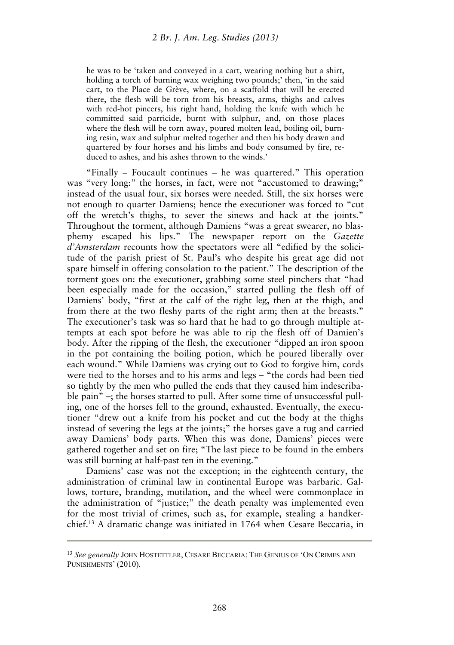he was to be 'taken and conveyed in a cart, wearing nothing but a shirt, holding a torch of burning wax weighing two pounds;' then, 'in the said cart, to the Place de Grève, where, on a scaffold that will be erected there, the flesh will be torn from his breasts, arms, thighs and calves with red-hot pincers, his right hand, holding the knife with which he committed said parricide, burnt with sulphur, and, on those places where the flesh will be torn away, poured molten lead, boiling oil, burning resin, wax and sulphur melted together and then his body drawn and quartered by four horses and his limbs and body consumed by fire, reduced to ashes, and his ashes thrown to the winds.'

"Finally – Foucault continues – he was quartered." This operation was "very long:" the horses, in fact, were not "accustomed to drawing;" instead of the usual four, six horses were needed. Still, the six horses were not enough to quarter Damiens; hence the executioner was forced to "cut off the wretch's thighs, to sever the sinews and hack at the joints." Throughout the torment, although Damiens "was a great swearer, no blasphemy escaped his lips." The newspaper report on the *Gazette d'Amsterdam* recounts how the spectators were all "edified by the solicitude of the parish priest of St. Paul's who despite his great age did not spare himself in offering consolation to the patient." The description of the torment goes on: the executioner, grabbing some steel pinchers that "had been especially made for the occasion," started pulling the flesh off of Damiens' body, "first at the calf of the right leg, then at the thigh, and from there at the two fleshy parts of the right arm; then at the breasts." The executioner's task was so hard that he had to go through multiple attempts at each spot before he was able to rip the flesh off of Damien's body. After the ripping of the flesh, the executioner "dipped an iron spoon in the pot containing the boiling potion, which he poured liberally over each wound." While Damiens was crying out to God to forgive him, cords were tied to the horses and to his arms and legs – "the cords had been tied so tightly by the men who pulled the ends that they caused him indescribable pain" –; the horses started to pull. After some time of unsuccessful pulling, one of the horses fell to the ground, exhausted. Eventually, the executioner "drew out a knife from his pocket and cut the body at the thighs instead of severing the legs at the joints;" the horses gave a tug and carried away Damiens' body parts. When this was done, Damiens' pieces were gathered together and set on fire; "The last piece to be found in the embers was still burning at half-past ten in the evening."

Damiens' case was not the exception; in the eighteenth century, the administration of criminal law in continental Europe was barbaric. Gallows, torture, branding, mutilation, and the wheel were commonplace in the administration of "justice;" the death penalty was implemented even for the most trivial of crimes, such as, for example, stealing a handkerchief.13 A dramatic change was initiated in 1764 when Cesare Beccaria, in

<sup>13</sup> *See generally* JOHN HOSTETTLER, CESARE BECCARIA: THE GENIUS OF 'ON CRIMES AND PUNISHMENTS' (2010).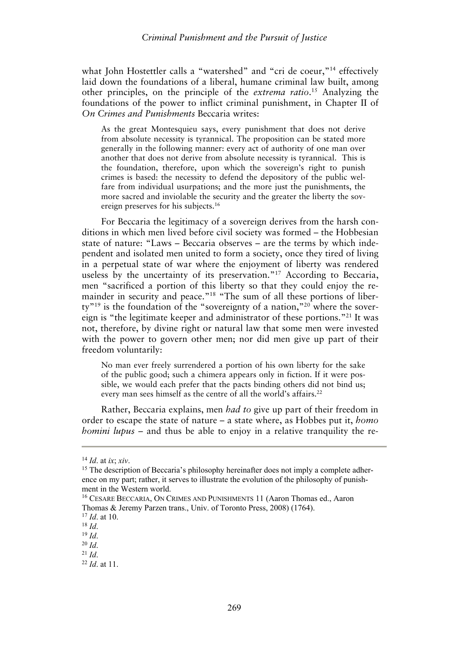#### *Criminal Punishment and the Pursuit of Justice*

what John Hostettler calls a "watershed" and "cri de coeur,"<sup>14</sup> effectively laid down the foundations of a liberal, humane criminal law built, among other principles, on the principle of the *extrema ratio*. 15 Analyzing the foundations of the power to inflict criminal punishment, in Chapter II of *On Crimes and Punishments* Beccaria writes:

As the great Montesquieu says, every punishment that does not derive from absolute necessity is tyrannical. The proposition can be stated more generally in the following manner: every act of authority of one man over another that does not derive from absolute necessity is tyrannical. This is the foundation, therefore, upon which the sovereign's right to punish crimes is based: the necessity to defend the depository of the public welfare from individual usurpations; and the more just the punishments, the more sacred and inviolable the security and the greater the liberty the sovereign preserves for his subjects.16

For Beccaria the legitimacy of a sovereign derives from the harsh conditions in which men lived before civil society was formed – the Hobbesian state of nature: "Laws – Beccaria observes – are the terms by which independent and isolated men united to form a society, once they tired of living in a perpetual state of war where the enjoyment of liberty was rendered useless by the uncertainty of its preservation."<sup>17</sup> According to Beccaria, men "sacrificed a portion of this liberty so that they could enjoy the remainder in security and peace."<sup>18</sup> "The sum of all these portions of liberty"19 is the foundation of the "sovereignty of a nation,"20 where the sovereign is "the legitimate keeper and administrator of these portions."21 It was not, therefore, by divine right or natural law that some men were invested with the power to govern other men; nor did men give up part of their freedom voluntarily:

No man ever freely surrendered a portion of his own liberty for the sake of the public good; such a chimera appears only in fiction. If it were possible, we would each prefer that the pacts binding others did not bind us; every man sees himself as the centre of all the world's affairs.<sup>22</sup>

Rather, Beccaria explains, men *had to* give up part of their freedom in order to escape the state of nature – a state where, as Hobbes put it, *homo homini lupus* – and thus be able to enjoy in a relative tranquility the re-

<sup>&</sup>lt;sup>14</sup> *Id.* at *ix*; *xiv*. 15 The description of Beccaria's philosophy hereinafter does not imply a complete adherence on my part; rather, it serves to illustrate the evolution of the philosophy of punishment in the Western world.

<sup>16</sup> CESARE BECCARIA, ON CRIMES AND PUNISHMENTS 11 (Aaron Thomas ed., Aaron Thomas & Jeremy Parzen trans., Univ. of Toronto Press, 2008) (1764). 17 *Id*. at 10. 18 *Id*. 19 *Id*. 20 *Id*. 21 *Id*. 22 *Id*. at 11.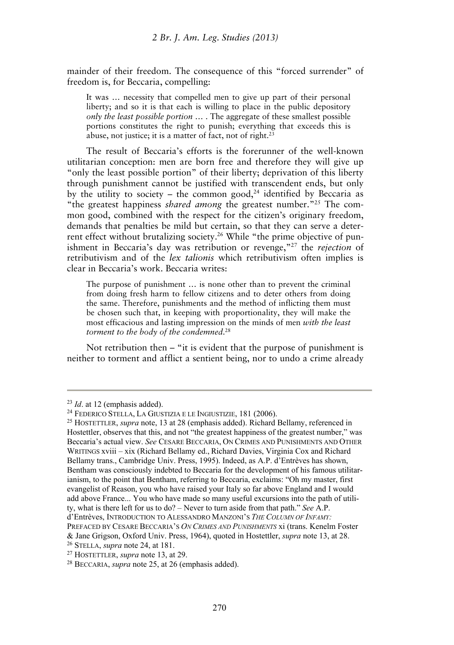mainder of their freedom. The consequence of this "forced surrender" of freedom is, for Beccaria, compelling:

It was … necessity that compelled men to give up part of their personal liberty; and so it is that each is willing to place in the public depository *only the least possible portion* … . The aggregate of these smallest possible portions constitutes the right to punish; everything that exceeds this is abuse, not justice; it is a matter of fact, not of right. $2<sup>3</sup>$ 

The result of Beccaria's efforts is the forerunner of the well-known utilitarian conception: men are born free and therefore they will give up "only the least possible portion" of their liberty; deprivation of this liberty through punishment cannot be justified with transcendent ends, but only by the utility to society – the common good,<sup>24</sup> identified by Beccaria as "the greatest happiness *shared among* the greatest number."25 The common good, combined with the respect for the citizen's originary freedom, demands that penalties be mild but certain, so that they can serve a deterrent effect without brutalizing society.26 While "the prime objective of punishment in Beccaria's day was retribution or revenge,"27 the *rejection* of retributivism and of the *lex talionis* which retributivism often implies is clear in Beccaria's work. Beccaria writes:

The purpose of punishment … is none other than to prevent the criminal from doing fresh harm to fellow citizens and to deter others from doing the same. Therefore, punishments and the method of inflicting them must be chosen such that, in keeping with proportionality, they will make the most efficacious and lasting impression on the minds of men *with the least torment to the body of the condemned*. 28

Not retribution then – "it is evident that the purpose of punishment is neither to torment and afflict a sentient being, nor to undo a crime already

<sup>&</sup>lt;sup>23</sup> *Id.* at 12 (emphasis added).<br><sup>24</sup> FEDERICO STELLA, LA GIUSTIZIA E LE INGIUSTIZIE, 181 (2006).<br><sup>25</sup> HOSTETTLER, *supra* note, 13 at 28 (emphasis added). Richard Bellamy, referenced in

Hostettler, observes that this, and not "the greatest happiness of the greatest number," was Beccaria's actual view. *See* CESARE BECCARIA, ON CRIMES AND PUNISHMENTS AND OTHER WRITINGS xviii – xix (Richard Bellamy ed., Richard Davies, Virginia Cox and Richard Bellamy trans., Cambridge Univ. Press, 1995). Indeed, as A.P. d'Entrèves has shown, Bentham was consciously indebted to Beccaria for the development of his famous utilitarianism, to the point that Bentham, referring to Beccaria, exclaims: "Oh my master, first evangelist of Reason, you who have raised your Italy so far above England and I would add above France... You who have made so many useful excursions into the path of utility, what is there left for us to do? – Never to turn aside from that path." *See* A.P. d'Entrèves, INTRODUCTION TO ALESSANDRO MANZONI'S *THE COLUMN OF INFAMY:*

PREFACED BY CESARE BECCARIA'S *ON CRIMES AND PUNISHMENTS* xi (trans. Kenelm Foster & Jane Grigson, Oxford Univ. Press, 1964), quoted in Hostettler, *supra* note 13, at 28.<br><sup>26</sup> STELLA, *supra* note 24, at 181.<br><sup>27</sup> HOSTETTLER, *supra* note 13, at 29.<br><sup>28</sup> BECCARIA, *supra* note 25, at 26 (emphasis added)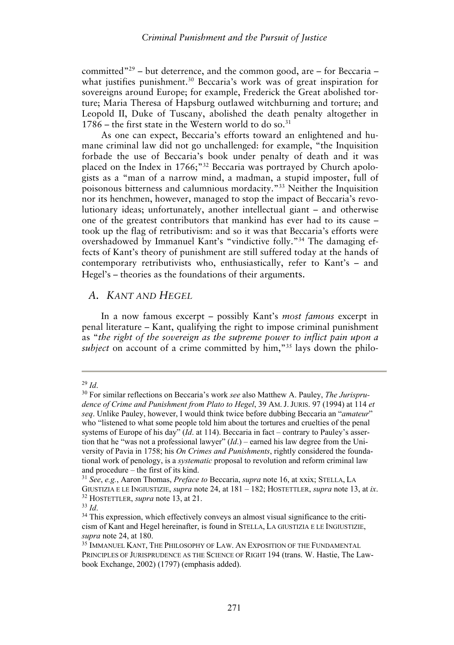committed"<sup>29</sup> – but deterrence, and the common good, are – for Beccaria – what justifies punishment.<sup>30</sup> Beccaria's work was of great inspiration for sovereigns around Europe; for example, Frederick the Great abolished torture; Maria Theresa of Hapsburg outlawed witchburning and torture; and Leopold II, Duke of Tuscany, abolished the death penalty altogether in  $1786$  – the first state in the Western world to do so.<sup>31</sup>

As one can expect, Beccaria's efforts toward an enlightened and humane criminal law did not go unchallenged: for example, "the Inquisition forbade the use of Beccaria's book under penalty of death and it was placed on the Index in 1766;"32 Beccaria was portrayed by Church apologists as a "man of a narrow mind, a madman, a stupid imposter, full of poisonous bitterness and calumnious mordacity."33 Neither the Inquisition nor its henchmen, however, managed to stop the impact of Beccaria's revolutionary ideas; unfortunately, another intellectual giant – and otherwise one of the greatest contributors that mankind has ever had to its cause – took up the flag of retributivism: and so it was that Beccaria's efforts were overshadowed by Immanuel Kant's "vindictive folly."34 The damaging effects of Kant's theory of punishment are still suffered today at the hands of contemporary retributivists who, enthusiastically, refer to Kant's – and Hegel's – theories as the foundations of their arguments.

### *A. KANT AND HEGEL*

In a now famous excerpt – possibly Kant's *most famous* excerpt in penal literature – Kant, qualifying the right to impose criminal punishment as "*the right of the sovereign as the supreme power to inflict pain upon a subject* on account of a crime committed by him,"<sup>35</sup> lays down the philo-

<sup>29</sup> *Id*.

<sup>30</sup> For similar reflections on Beccaria's work *see* also Matthew A. Pauley, *The Jurisprudence of Crime and Punishment from Plato to Hegel*, 39 AM. J. JURIS. 97 (1994) at 114 *et seq*. Unlike Pauley, however, I would think twice before dubbing Beccaria an "*amateur*" who "listened to what some people told him about the tortures and cruelties of the penal systems of Europe of his day" (*Id*. at 114). Beccaria in fact – contrary to Pauley's assertion that he "was not a professional lawyer" (*Id*.) – earned his law degree from the University of Pavia in 1758; his *On Crimes and Punishments*, rightly considered the foundational work of penology, is a *systematic* proposal to revolution and reform criminal law and procedure – the first of its kind.

<sup>31</sup> *See*, *e.g.*, Aaron Thomas, *Preface to* Beccaria, *supra* note 16, at xxix; STELLA, LA GIUSTIZIA E LE INGIUSTIZIE, *supra* note 24, at 181 – 182; HOSTETTLER, *supra* note 13, at *ix*.<br><sup>32</sup> HOSTETTLER, *supra* note 13, at 21.<br><sup>33</sup> *Id.*<br><sup>34</sup> This expression, which effectively convevs an almost visual signifi

cism of Kant and Hegel hereinafter, is found in STELLA, LA GIUSTIZIA E LE INGIUSTIZIE, *supra* note 24, at 180.<br><sup>35</sup> IMMANUEL KANT, THE PHILOSOPHY OF LAW. AN EXPOSITION OF THE FUNDAMENTAL

PRINCIPLES OF JURISPRUDENCE AS THE SCIENCE OF RIGHT 194 (trans. W. Hastie, The Lawbook Exchange, 2002) (1797) (emphasis added).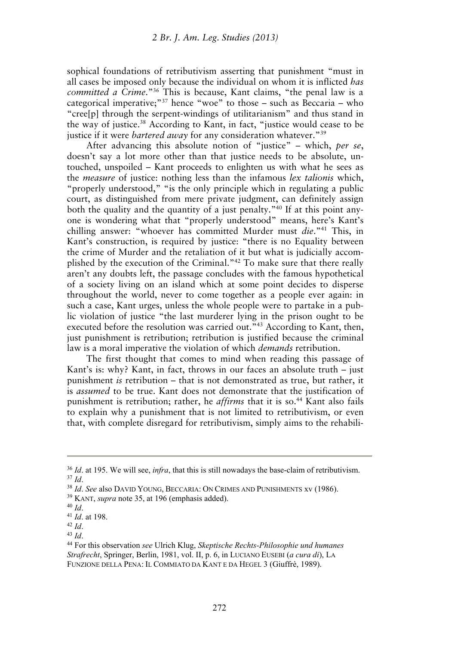sophical foundations of retributivism asserting that punishment "must in all cases be imposed only because the individual on whom it is inflicted *has committed a Crime*."36 This is because, Kant claims, "the penal law is a categorical imperative;"<sup>37</sup> hence "woe" to those – such as Beccaria – who "cree[p] through the serpent-windings of utilitarianism" and thus stand in the way of justice.38 According to Kant, in fact, "justice would cease to be justice if it were *bartered away* for any consideration whatever."<sup>39</sup>

After advancing this absolute notion of "justice" – which, *per se*, doesn't say a lot more other than that justice needs to be absolute, untouched, unspoiled – Kant proceeds to enlighten us with what he sees as the *measure* of justice: nothing less than the infamous *lex talionis* which, "properly understood," "is the only principle which in regulating a public court, as distinguished from mere private judgment, can definitely assign both the quality and the quantity of a just penalty.<sup>"40</sup> If at this point anyone is wondering what that "properly understood" means, here's Kant's chilling answer: "whoever has committed Murder must *die*."41 This, in Kant's construction, is required by justice: "there is no Equality between the crime of Murder and the retaliation of it but what is judicially accomplished by the execution of the Criminal."42 To make sure that there really aren't any doubts left, the passage concludes with the famous hypothetical of a society living on an island which at some point decides to disperse throughout the world, never to come together as a people ever again: in such a case, Kant urges, unless the whole people were to partake in a public violation of justice "the last murderer lying in the prison ought to be executed before the resolution was carried out.<sup>"43</sup> According to Kant, then, just punishment is retribution; retribution is justified because the criminal law is a moral imperative the violation of which *demands* retribution.

The first thought that comes to mind when reading this passage of Kant's is: why? Kant, in fact, throws in our faces an absolute truth – just punishment *is* retribution – that is not demonstrated as true, but rather, it is *assumed* to be true. Kant does not demonstrate that the justification of punishment is retribution; rather, he *affirms* that it is so.<sup>44</sup> Kant also fails to explain why a punishment that is not limited to retributivism, or even that, with complete disregard for retributivism, simply aims to the rehabili-

<sup>&</sup>lt;sup>36</sup> *Id.* at 195. We will see, *infra*, that this is still nowadays the base-claim of retributivism.<br><sup>37</sup> *Id.*<br><sup>38</sup> *Id. See* also DAVID YOUNG, BECCARIA: ON CRIMES AND PUNISHMENTS xv (1986).<br><sup>39</sup> KANT, *supra* note 35, a

*Strafrecht*, Springer, Berlin, 1981, vol. II, p. 6, in LUCIANO EUSEBI (*a cura di*), LA FUNZIONE DELLA PENA: IL COMMIATO DA KANT E DA HEGEL 3 (Giuffrè, 1989).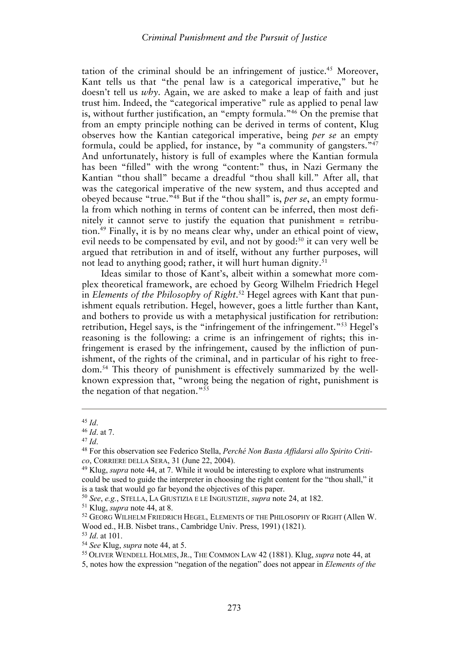tation of the criminal should be an infringement of justice.45 Moreover, Kant tells us that "the penal law is a categorical imperative," but he doesn't tell us *why*. Again, we are asked to make a leap of faith and just trust him. Indeed, the "categorical imperative" rule as applied to penal law is, without further justification, an "empty formula."46 On the premise that from an empty principle nothing can be derived in terms of content, Klug observes how the Kantian categorical imperative, being *per se* an empty formula, could be applied, for instance, by "a community of gangsters."47 And unfortunately, history is full of examples where the Kantian formula has been "filled" with the wrong "content:" thus, in Nazi Germany the Kantian "thou shall" became a dreadful "thou shall kill." After all, that was the categorical imperative of the new system, and thus accepted and obeyed because "true."48 But if the "thou shall" is, *per se*, an empty formula from which nothing in terms of content can be inferred, then most definitely it cannot serve to justify the equation that punishment = retribution.49 Finally, it is by no means clear why, under an ethical point of view, evil needs to be compensated by evil, and not by good:<sup>50</sup> it can very well be argued that retribution in and of itself, without any further purposes, will not lead to anything good; rather, it will hurt human dignity.<sup>51</sup>

Ideas similar to those of Kant's, albeit within a somewhat more complex theoretical framework, are echoed by Georg Wilhelm Friedrich Hegel in *Elements of the Philosophy of Right*. 52 Hegel agrees with Kant that punishment equals retribution. Hegel, however, goes a little further than Kant, and bothers to provide us with a metaphysical justification for retribution: retribution, Hegel says, is the "infringement of the infringement."53 Hegel's reasoning is the following: a crime is an infringement of rights; this infringement is erased by the infringement, caused by the infliction of punishment, of the rights of the criminal, and in particular of his right to freedom.54 This theory of punishment is effectively summarized by the wellknown expression that, "wrong being the negation of right, punishment is the negation of that negation." $55$ 

<sup>45</sup> *Id*. 46 *Id*. at 7. 47 *Id*. 48 For this observation see Federico Stella, *Perché Non Basta Affidarsi allo Spirito Critico*, CORRIERE DELLA SERA, 31 (June 22, 2004).<br><sup>49</sup> Klug, *supra* note 44, at 7. While it would be interesting to explore what instruments

could be used to guide the interpreter in choosing the right content for the "thou shall," it is a task that would go far beyond the objectives of this paper.<br><sup>50</sup> *See*, *e.g.*, STELLA, LA GIUSTIZIA E LE INGIUSTIZIE, *supra* note 24, at 182.<br><sup>51</sup> Klug, *supra* note 44, at 8.<br><sup>52</sup> GEORG WILHELM FRIEDRICH HEGEL, EL

Wood ed., H.B. Nisbet trans., Cambridge Univ. Press, 1991) (1821).<br><sup>53</sup> *Id*. at 101.<br><sup>54</sup> *See* Klug, *supra* note 44, at 5. 55 OLIVER WENDELL HOLMES, JR., THE COMMON LAW 42 (1881). Klug, *supra* note 44, at

<sup>5,</sup> notes how the expression "negation of the negation" does not appear in *Elements of the*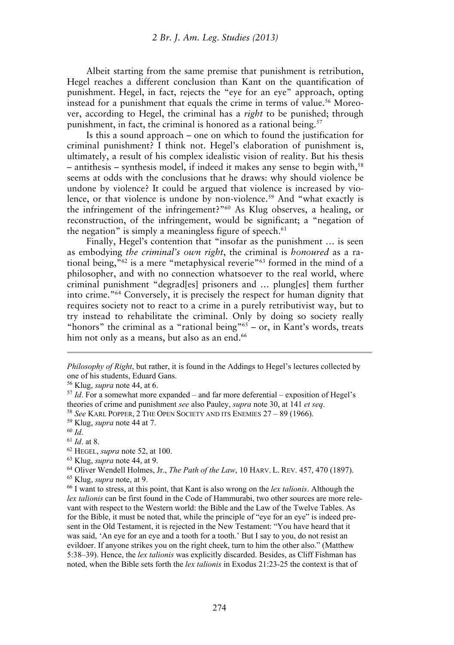Albeit starting from the same premise that punishment is retribution, Hegel reaches a different conclusion than Kant on the quantification of punishment. Hegel, in fact, rejects the "eye for an eye" approach, opting instead for a punishment that equals the crime in terms of value.<sup>56</sup> Moreover, according to Hegel, the criminal has a *right* to be punished; through punishment, in fact, the criminal is honored as a rational being.<sup>57</sup>

Is this a sound approach – one on which to found the justification for criminal punishment? I think not. Hegel's elaboration of punishment is, ultimately, a result of his complex idealistic vision of reality. But his thesis  $-$  antithesis – synthesis model, if indeed it makes any sense to begin with,<sup>58</sup> seems at odds with the conclusions that he draws: why should violence be undone by violence? It could be argued that violence is increased by violence, or that violence is undone by non-violence.<sup>59</sup> And "what exactly is the infringement of the infringement?"60 As Klug observes, a healing, or reconstruction, of the infringement, would be significant; a "negation of the negation" is simply a meaningless figure of speech. $61$ 

Finally, Hegel's contention that "insofar as the punishment … is seen as embodying *the criminal's own right*, the criminal is *honoured* as a rational being,"62 is a mere "metaphysical reverie"63 formed in the mind of a philosopher, and with no connection whatsoever to the real world, where criminal punishment "degrad[es] prisoners and … plung[es] them further into crime."64 Conversely, it is precisely the respect for human dignity that requires society not to react to a crime in a purely retributivist way, but to try instead to rehabilitate the criminal. Only by doing so society really "honors" the criminal as a "rational being"<sup>65</sup> – or, in Kant's words, treats him not only as a means, but also as an end.<sup>66</sup>

*Philosophy of Right*, but rather, it is found in the Addings to Hegel's lectures collected by one of his students, Eduard Gans.

<sup>&</sup>lt;sup>56</sup> Klug, *supra* note 44, at 6.<br><sup>57</sup> *Id*. For a somewhat more expanded – and far more deferential – exposition of Hegel's theories of crime and punishment *see* also Pauley, *supra* note 30, at 141 *et seq.*<br><sup>58</sup> *See* KARL POPPER, 2 THE OPEN SOCIETY AND ITS ENEMIES 27 – 89 (1966).<br><sup>59</sup> Klug, *supra* note 44 at 7.<br><sup>61</sup> *Id.* at 8.<br><sup>62</sup> HEGEL,

*lex talionis* can be first found in the Code of Hammurabi, two other sources are more relevant with respect to the Western world: the Bible and the Law of the Twelve Tables. As for the Bible, it must be noted that, while the principle of "eye for an eye" is indeed present in the Old Testament, it is rejected in the New Testament: "You have heard that it was said, 'An eye for an eye and a tooth for a tooth.' But I say to you, do not resist an evildoer. If anyone strikes you on the right cheek, turn to him the other also." (Matthew 5:38–39). Hence, the *lex talionis* was explicitly discarded. Besides, as Cliff Fishman has noted, when the Bible sets forth the *lex talionis* in Exodus 21:23-25 the context is that of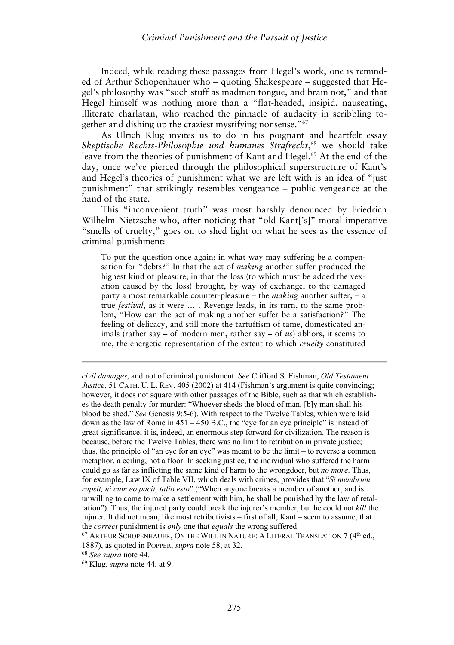Indeed, while reading these passages from Hegel's work, one is reminded of Arthur Schopenhauer who – quoting Shakespeare – suggested that Hegel's philosophy was "such stuff as madmen tongue, and brain not," and that Hegel himself was nothing more than a "flat-headed, insipid, nauseating, illiterate charlatan, who reached the pinnacle of audacity in scribbling together and dishing up the craziest mystifying nonsense."67

As Ulrich Klug invites us to do in his poignant and heartfelt essay *Skeptische Rechts-Philosophie und humanes Strafrecht*, 68 we should take leave from the theories of punishment of Kant and Hegel.69 At the end of the day, once we've pierced through the philosophical superstructure of Kant's and Hegel's theories of punishment what we are left with is an idea of "just punishment" that strikingly resembles vengeance – public vengeance at the hand of the state.

This "inconvenient truth" was most harshly denounced by Friedrich Wilhelm Nietzsche who, after noticing that "old Kant['s]" moral imperative "smells of cruelty," goes on to shed light on what he sees as the essence of criminal punishment:

To put the question once again: in what way may suffering be a compensation for "debts?" In that the act of *making* another suffer produced the highest kind of pleasure; in that the loss (to which must be added the vexation caused by the loss) brought, by way of exchange, to the damaged party a most remarkable counter-pleasure – the *making* another suffer, – a true *festival*, as it were … . Revenge leads, in its turn, to the same problem, "How can the act of making another suffer be a satisfaction?" The feeling of delicacy, and still more the tartuffism of tame, domesticated animals (rather say – of modern men, rather say – of *us*) abhors, it seems to me, the energetic representation of the extent to which *cruelty* constituted

*civil damages*, and not of criminal punishment. *See* Clifford S. Fishman, *Old Testament Justice*, 51 CATH. U. L. REV. 405 (2002) at 414 (Fishman's argument is quite convincing; however, it does not square with other passages of the Bible, such as that which establishes the death penalty for murder: "Whoever sheds the blood of man, [b]y man shall his blood be shed." *See* Genesis 9:5-6). With respect to the Twelve Tables, which were laid down as the law of Rome in 451 – 450 B.C., the "eye for an eye principle" is instead of great significance; it is, indeed, an enormous step forward for civilization. The reason is because, before the Twelve Tables, there was no limit to retribution in private justice; thus, the principle of "an eye for an eye" was meant to be the limit – to reverse a common metaphor, a ceiling, not a floor. In seeking justice, the individual who suffered the harm could go as far as inflicting the same kind of harm to the wrongdoer, but *no more*. Thus, for example, Law IX of Table VII, which deals with crimes, provides that "*Si membrum rupsit, ni cum eo pacit, talio esto*" ("When anyone breaks a member of another, and is unwilling to come to make a settlement with him, he shall be punished by the law of retaliation"). Thus, the injured party could break the injurer's member, but he could not *kill* the injurer. It did not mean, like most retributivists – first of all, Kant – seem to assume, that the *correct* punishment is *only* one that *equals* the wrong suffered.<br><sup>67</sup> ARTHUR SCHOPENHAUER, ON THE WILL IN NATURE: A LITERAL TRANSLATION 7 (4<sup>th</sup> ed.,

<sup>1887),</sup> as quoted in POPPER, *supra* note 58, at 32. 68 *See supra* note 44. 69 Klug, *supra* note 44, at 9.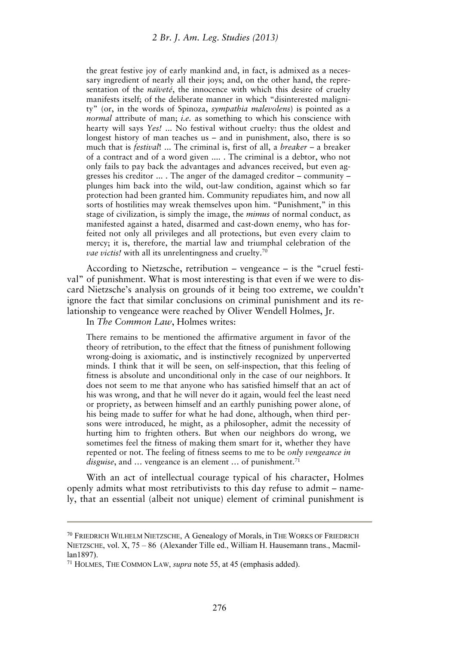the great festive joy of early mankind and, in fact, is admixed as a necessary ingredient of nearly all their joys; and, on the other hand, the representation of the *naïveté*, the innocence with which this desire of cruelty manifests itself; of the deliberate manner in which "disinterested malignity" (or, in the words of Spinoza, *sympathia malevolens*) is pointed as a *normal* attribute of man; *i.e.* as something to which his conscience with hearty will says *Yes!* ... No festival without cruelty: thus the oldest and longest history of man teaches us – and in punishment, also, there is so much that is *festival*! ... The criminal is, first of all, a *breaker* – a breaker of a contract and of a word given .... . The criminal is a debtor, who not only fails to pay back the advantages and advances received, but even aggresses his creditor ... . The anger of the damaged creditor – community – plunges him back into the wild, out-law condition, against which so far protection had been granted him. Community repudiates him, and now all sorts of hostilities may wreak themselves upon him. "Punishment," in this stage of civilization, is simply the image, the *mimus* of normal conduct, as manifested against a hated, disarmed and cast-down enemy, who has forfeited not only all privileges and all protections, but even every claim to mercy; it is, therefore, the martial law and triumphal celebration of the *vae victis!* with all its unrelentingness and cruelty.<sup>70</sup>

According to Nietzsche, retribution – vengeance – is the "cruel festival" of punishment. What is most interesting is that even if we were to discard Nietzsche's analysis on grounds of it being too extreme, we couldn't ignore the fact that similar conclusions on criminal punishment and its relationship to vengeance were reached by Oliver Wendell Holmes, Jr.

In *The Common Law*, Holmes writes:

There remains to be mentioned the affirmative argument in favor of the theory of retribution, to the effect that the fitness of punishment following wrong-doing is axiomatic, and is instinctively recognized by unperverted minds. I think that it will be seen, on self-inspection, that this feeling of fitness is absolute and unconditional only in the case of our neighbors. It does not seem to me that anyone who has satisfied himself that an act of his was wrong, and that he will never do it again, would feel the least need or propriety, as between himself and an earthly punishing power alone, of his being made to suffer for what he had done, although, when third persons were introduced, he might, as a philosopher, admit the necessity of hurting him to frighten others. But when our neighbors do wrong, we sometimes feel the fitness of making them smart for it, whether they have repented or not. The feeling of fitness seems to me to be *only vengeance in disguise*, and ... vengeance is an element ... of punishment.<sup>71</sup>

With an act of intellectual courage typical of his character, Holmes openly admits what most retributivists to this day refuse to admit – namely, that an essential (albeit not unique) element of criminal punishment is

<sup>70</sup> FRIEDRICH WILHELM NIETZSCHE, A Genealogy of Morals, in THE WORKS OF FRIEDRICH NIETZSCHE, vol. X, 75 – 86 (Alexander Tille ed., William H. Hausemann trans., Macmillan1897).

<sup>71</sup> HOLMES, THE COMMON LAW, *supra* note 55, at 45 (emphasis added).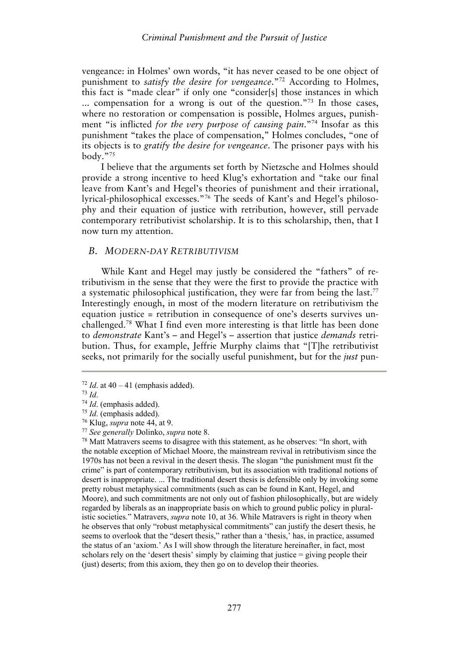vengeance: in Holmes' own words, "it has never ceased to be one object of punishment to *satisfy the desire for vengeance*."72 According to Holmes, this fact is "made clear" if only one "consider[s] those instances in which ... compensation for a wrong is out of the question."<sup>73</sup> In those cases, where no restoration or compensation is possible, Holmes argues, punishment "is inflicted *for the very purpose of causing pain*."74 Insofar as this punishment "takes the place of compensation," Holmes concludes, "one of its objects is to *gratify the desire for vengeance*. The prisoner pays with his body."75

I believe that the arguments set forth by Nietzsche and Holmes should provide a strong incentive to heed Klug's exhortation and "take our final leave from Kant's and Hegel's theories of punishment and their irrational, lyrical-philosophical excesses."76 The seeds of Kant's and Hegel's philosophy and their equation of justice with retribution, however, still pervade contemporary retributivist scholarship. It is to this scholarship, then, that I now turn my attention.

## *B. MODERN-DAY RETRIBUTIVISM*

While Kant and Hegel may justly be considered the "fathers" of retributivism in the sense that they were the first to provide the practice with a systematic philosophical justification, they were far from being the last.77 Interestingly enough, in most of the modern literature on retributivism the equation justice = retribution in consequence of one's deserts survives unchallenged.78 What I find even more interesting is that little has been done to *demonstrate* Kant's – and Hegel's – assertion that justice *demands* retribution. Thus, for example, Jeffrie Murphy claims that "[T]he retributivist seeks, not primarily for the socially useful punishment, but for the *just* pun-

<sup>72</sup> *Id.* at 40 – 41 (emphasis added).<br>
<sup>73</sup> *Id.*<br>
<sup>74</sup> *Id.* (emphasis added).<br>
<sup>75</sup> *Id.* (emphasis added).<br>
<sup>75</sup> Klug, *supra* note 44, at 9.<br>
<sup>77</sup> *See generally* Dolinko, *supra* note 8.<br>
<sup>77</sup> *See generally* Dolin the notable exception of Michael Moore, the mainstream revival in retributivism since the 1970s has not been a revival in the desert thesis. The slogan "the punishment must fit the crime" is part of contemporary retributivism, but its association with traditional notions of desert is inappropriate. ... The traditional desert thesis is defensible only by invoking some pretty robust metaphysical commitments (such as can be found in Kant, Hegel, and Moore), and such commitments are not only out of fashion philosophically, but are widely regarded by liberals as an inappropriate basis on which to ground public policy in pluralistic societies." Matravers, *supra* note 10, at 36. While Matravers is right in theory when he observes that only "robust metaphysical commitments" can justify the desert thesis, he seems to overlook that the "desert thesis," rather than a 'thesis,' has, in practice, assumed the status of an 'axiom.' As I will show through the literature hereinafter, in fact, most scholars rely on the 'desert thesis' simply by claiming that justice = giving people their (just) deserts; from this axiom, they then go on to develop their theories.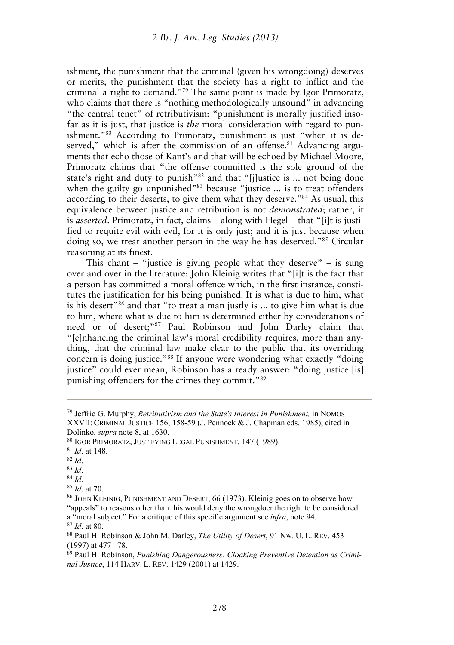ishment, the punishment that the criminal (given his wrongdoing) deserves or merits, the punishment that the society has a right to inflict and the criminal a right to demand."79 The same point is made by Igor Primoratz, who claims that there is "nothing methodologically unsound" in advancing "the central tenet" of retributivism: "punishment is morally justified insofar as it is just, that justice is *the* moral consideration with regard to punishment."<sup>80</sup> According to Primoratz, punishment is just "when it is deserved," which is after the commission of an offense.<sup>81</sup> Advancing arguments that echo those of Kant's and that will be echoed by Michael Moore, Primoratz claims that "the offense committed is the sole ground of the state's right and duty to punish<sup>"82</sup> and that "[j]ustice is ... not being done when the guilty go unpunished"<sup>83</sup> because "justice ... is to treat offenders according to their deserts, to give them what they deserve."84 As usual, this equivalence between justice and retribution is not *demonstrated*; rather, it is *asserted*. Primoratz, in fact, claims – along with Hegel – that "[i]t is justified to requite evil with evil, for it is only just; and it is just because when doing so, we treat another person in the way he has deserved."85 Circular reasoning at its finest.

This chant – "justice is giving people what they deserve" – is sung over and over in the literature: John Kleinig writes that "[i]t is the fact that a person has committed a moral offence which, in the first instance, constitutes the justification for his being punished. It is what is due to him, what is his desert"86 and that "to treat a man justly is ... to give him what is due to him, where what is due to him is determined either by considerations of need or of desert;"87 Paul Robinson and John Darley claim that "[e]nhancing the criminal law's moral credibility requires, more than anything, that the criminal law make clear to the public that its overriding concern is doing justice."88 If anyone were wondering what exactly "doing justice" could ever mean, Robinson has a ready answer: "doing justice [is] punishing offenders for the crimes they commit."89

<sup>79</sup> Jeffrie G. Murphy, *Retributivism and the State's Interest in Punishment,* in NOMOS XXVII: CRIMINAL JUSTICE 156, 158-59 (J. Pennock & J. Chapman eds. 1985), cited in Dolinko, *supra* note 8, at 1630.<br><sup>80</sup> IGOR PRIMORATZ, JUSTIFYING LEGAL PUNISHMENT, 147 (1989).<br><sup>81</sup> Id. at 148.<br><sup>82</sup> Id.<br><sup>83</sup> Id. <sup>83</sup> Id.<br><sup>84</sup> Id. <sup>84</sup> Id. at 70.<br><sup>85</sup> Id. at 70.

<sup>&</sup>quot;appeals" to reasons other than this would deny the wrongdoer the right to be considered a "moral subject." For a critique of this specific argument see *infra*, note 94.<br><sup>87</sup> *Id.* at 80.<br><sup>88</sup> Paul H. Robinson & John M. Darley, *The Utility of Desert*, 91 Nw. U. L. REV. 453

<sup>(1997)</sup> at 477 –78.

<sup>89</sup> Paul H. Robinson, *Punishing Dangerousness: Cloaking Preventive Detention as Criminal Justice*, 114 HARV. L. REV. 1429 (2001) at 1429.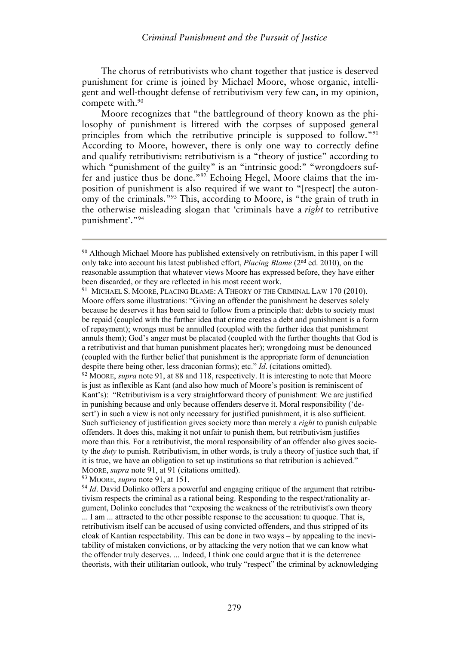The chorus of retributivists who chant together that justice is deserved punishment for crime is joined by Michael Moore, whose organic, intelligent and well-thought defense of retributivism very few can, in my opinion, compete with.<sup>90</sup>

Moore recognizes that "the battleground of theory known as the philosophy of punishment is littered with the corpses of supposed general principles from which the retributive principle is supposed to follow."91 According to Moore, however, there is only one way to correctly define and qualify retributivism: retributivism is a "theory of justice" according to which "punishment of the guilty" is an "intrinsic good:" "wrongdoers suffer and justice thus be done."92 Echoing Hegel, Moore claims that the imposition of punishment is also required if we want to "[respect] the autonomy of the criminals."93 This, according to Moore, is "the grain of truth in the otherwise misleading slogan that 'criminals have a *right* to retributive punishment'."94

<sup>91</sup> MICHAEL S. MOORE, PLACING BLAME: A THEORY OF THE CRIMINAL LAW 170 (2010). Moore offers some illustrations: "Giving an offender the punishment he deserves solely because he deserves it has been said to follow from a principle that: debts to society must be repaid (coupled with the further idea that crime creates a debt and punishment is a form of repayment); wrongs must be annulled (coupled with the further idea that punishment annuls them); God's anger must be placated (coupled with the further thoughts that God is a retributivist and that human punishment placates her); wrongdoing must be denounced (coupled with the further belief that punishment is the appropriate form of denunciation despite there being other, less draconian forms); etc." *Id*. (citations omitted). <sup>92</sup> MOORE, *supra* note 91, at 88 and 118, respectively. It is interesting to note that Moore

is just as inflexible as Kant (and also how much of Moore's position is reminiscent of Kant's): "Retributivism is a very straightforward theory of punishment: We are justified in punishing because and only because offenders deserve it. Moral responsibility ('desert') in such a view is not only necessary for justified punishment, it is also sufficient. Such sufficiency of justification gives society more than merely a *right* to punish culpable offenders. It does this, making it not unfair to punish them, but retributivism justifies more than this. For a retributivist, the moral responsibility of an offender also gives society the *duty* to punish. Retributivism, in other words, is truly a theory of justice such that, if it is true, we have an obligation to set up institutions so that retribution is achieved." MOORE, *supra* note 91, at 91 (citations omitted).<br><sup>93</sup> MOORE, *supra* note 91, at 151.<br><sup>94</sup> *Id*. David Dolinko offers a powerful and engaging critique of the argument that retribu-

<sup>90</sup> Although Michael Moore has published extensively on retributivism, in this paper I will only take into account his latest published effort, *Placing Blame* (2nd ed. 2010), on the reasonable assumption that whatever views Moore has expressed before, they have either been discarded, or they are reflected in his most recent work.

tivism respects the criminal as a rational being. Responding to the respect/rationality argument, Dolinko concludes that "exposing the weakness of the retributivist's own theory ... I am ... attracted to the other possible response to the accusation: tu quoque. That is, retributivism itself can be accused of using convicted offenders, and thus stripped of its cloak of Kantian respectability. This can be done in two ways – by appealing to the inevitability of mistaken convictions, or by attacking the very notion that we can know what the offender truly deserves. ... Indeed, I think one could argue that it is the deterrence theorists, with their utilitarian outlook, who truly "respect" the criminal by acknowledging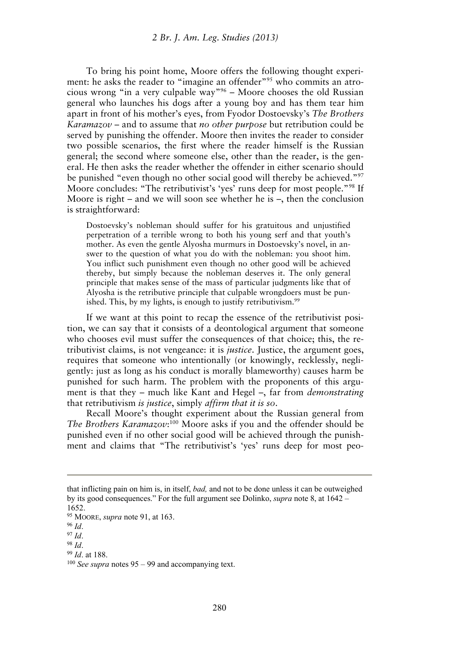To bring his point home, Moore offers the following thought experiment: he asks the reader to "imagine an offender"<sup>95</sup> who commits an atrocious wrong "in a very culpable way"96 – Moore chooses the old Russian general who launches his dogs after a young boy and has them tear him apart in front of his mother's eyes, from Fyodor Dostoevsky's *The Brothers Karamazov* – and to assume that *no other purpose* but retribution could be served by punishing the offender. Moore then invites the reader to consider two possible scenarios, the first where the reader himself is the Russian general; the second where someone else, other than the reader, is the general. He then asks the reader whether the offender in either scenario should be punished "even though no other social good will thereby be achieved."97 Moore concludes: "The retributivist's 'yes' runs deep for most people."98 If Moore is right – and we will soon see whether he is –, then the conclusion is straightforward:

Dostoevsky's nobleman should suffer for his gratuitous and unjustified perpetration of a terrible wrong to both his young serf and that youth's mother. As even the gentle Alyosha murmurs in Dostoevsky's novel, in answer to the question of what you do with the nobleman: you shoot him. You inflict such punishment even though no other good will be achieved thereby, but simply because the nobleman deserves it. The only general principle that makes sense of the mass of particular judgments like that of Alyosha is the retributive principle that culpable wrongdoers must be punished. This, by my lights, is enough to justify retributivism.<sup>99</sup>

If we want at this point to recap the essence of the retributivist position, we can say that it consists of a deontological argument that someone who chooses evil must suffer the consequences of that choice; this, the retributivist claims, is not vengeance: it is *justice*. Justice, the argument goes, requires that someone who intentionally (or knowingly, recklessly, negligently: just as long as his conduct is morally blameworthy) causes harm be punished for such harm. The problem with the proponents of this argument is that they – much like Kant and Hegel –, far from *demonstrating* that retributivism *is justice*, simply *affirm that it is so*.

Recall Moore's thought experiment about the Russian general from The Brothers Karamazov:<sup>100</sup> Moore asks if you and the offender should be punished even if no other social good will be achieved through the punishment and claims that "The retributivist's 'yes' runs deep for most peo-

that inflicting pain on him is, in itself, *bad,* and not to be done unless it can be outweighed by its good consequences." For the full argument see Dolinko, *supra* note 8, at 1642 – 1652.

<sup>95</sup> MOORE, *supra* note 91, at 163.<br>
96 *Id.*<br>
98 *Id.*<br>
99 *Id.* at 188.<br>
<sup>100</sup> *See supra* notes 95 – 99 and accompanying text.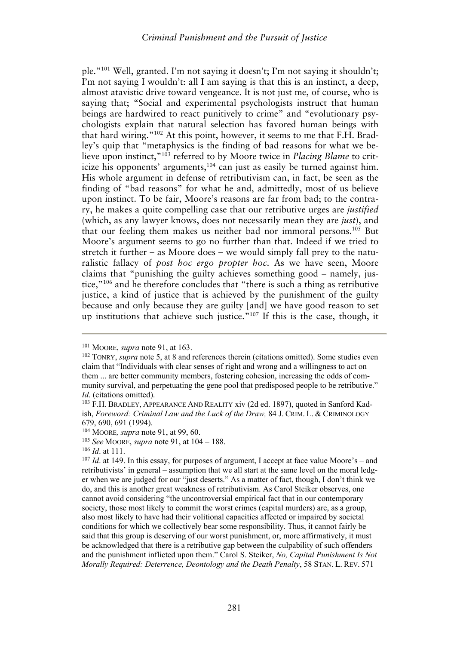ple."101 Well, granted. I'm not saying it doesn't; I'm not saying it shouldn't; I'm not saying I wouldn't: all I am saying is that this is an instinct, a deep, almost atavistic drive toward vengeance. It is not just me, of course, who is saying that; "Social and experimental psychologists instruct that human beings are hardwired to react punitively to crime" and "evolutionary psychologists explain that natural selection has favored human beings with that hard wiring."102 At this point, however, it seems to me that F.H. Bradley's quip that "metaphysics is the finding of bad reasons for what we believe upon instinct,"103 referred to by Moore twice in *Placing Blame* to criticize his opponents' arguments, $104$  can just as easily be turned against him. His whole argument in defense of retributivism can, in fact, be seen as the finding of "bad reasons" for what he and, admittedly, most of us believe upon instinct. To be fair, Moore's reasons are far from bad; to the contrary, he makes a quite compelling case that our retributive urges are *justified* (which, as any lawyer knows, does not necessarily mean they are *just*), and that our feeling them makes us neither bad nor immoral persons.105 But Moore's argument seems to go no further than that. Indeed if we tried to stretch it further – as Moore does – we would simply fall prey to the naturalistic fallacy of *post hoc ergo propter hoc*. As we have seen, Moore claims that "punishing the guilty achieves something good – namely, justice,"106 and he therefore concludes that "there is such a thing as retributive justice, a kind of justice that is achieved by the punishment of the guilty because and only because they are guilty [and] we have good reason to set up institutions that achieve such justice."107 If this is the case, though, it

<sup>&</sup>lt;sup>101</sup> MOORE, *supra* note 91, at 163.<br><sup>102</sup> TONRY, *supra* note 5, at 8 and references therein (citations omitted). Some studies even claim that "Individuals with clear senses of right and wrong and a willingness to act on them ... are better community members, fostering cohesion, increasing the odds of community survival, and perpetuating the gene pool that predisposed people to be retributive." *Id*. (citations omitted).<br><sup>103</sup> F.H. BRADLEY, APPEARANCE AND REALITY xiv (2d ed. 1897), quoted in Sanford Kad-

ish, *Foreword: Criminal Law and the Luck of the Draw,* 84 J. CRIM. L. & CRIMINOLOGY 679, 690, 691 (1994).

<sup>&</sup>lt;sup>104</sup> MOORE, *supra* note 91, at 99, 60.<br><sup>105</sup> *See* MOORE, *supra* note 91, at 104 – 188.<br><sup>106</sup> *Id.* at 111.<br><sup>107</sup> *Id.* at 149. In this essay, for purposes of argument, I accept at face value Moore's – and retributivists' in general – assumption that we all start at the same level on the moral ledger when we are judged for our "just deserts." As a matter of fact, though, I don't think we do, and this is another great weakness of retributivism. As Carol Steiker observes, one cannot avoid considering "the uncontroversial empirical fact that in our contemporary society, those most likely to commit the worst crimes (capital murders) are, as a group, also most likely to have had their volitional capacities affected or impaired by societal conditions for which we collectively bear some responsibility. Thus, it cannot fairly be said that this group is deserving of our worst punishment, or, more affirmatively, it must be acknowledged that there is a retributive gap between the culpability of such offenders and the punishment inflicted upon them." Carol S. Steiker, *No, Capital Punishment Is Not Morally Required: Deterrence, Deontology and the Death Penalty*, 58 STAN. L. REV. 571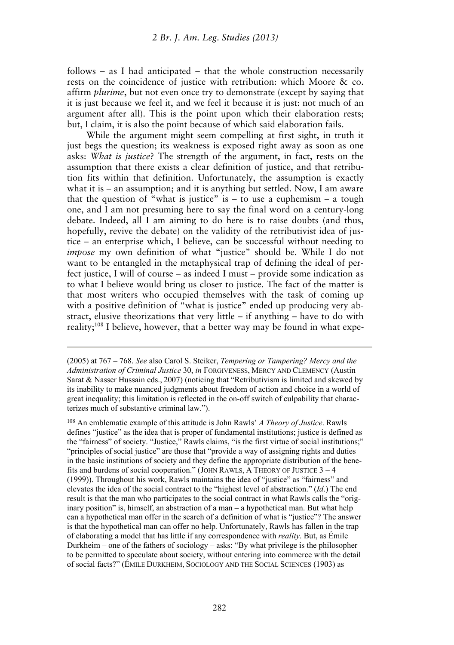follows – as I had anticipated – that the whole construction necessarily rests on the coincidence of justice with retribution: which Moore & co. affirm *plurime*, but not even once try to demonstrate (except by saying that it is just because we feel it, and we feel it because it is just: not much of an argument after all). This is the point upon which their elaboration rests; but, I claim, it is also the point because of which said elaboration fails.

While the argument might seem compelling at first sight, in truth it just begs the question; its weakness is exposed right away as soon as one asks: *What is justice*? The strength of the argument, in fact, rests on the assumption that there exists a clear definition of justice, and that retribution fits within that definition. Unfortunately, the assumption is exactly what it is – an assumption; and it is anything but settled. Now, I am aware that the question of "what is justice" is  $-$  to use a euphemism  $-$  a tough one, and I am not presuming here to say the final word on a century-long debate. Indeed, all I am aiming to do here is to raise doubts (and thus, hopefully, revive the debate) on the validity of the retributivist idea of justice – an enterprise which, I believe, can be successful without needing to *impose* my own definition of what "justice" should be. While I do not want to be entangled in the metaphysical trap of defining the ideal of perfect justice, I will of course – as indeed I must – provide some indication as to what I believe would bring us closer to justice. The fact of the matter is that most writers who occupied themselves with the task of coming up with a positive definition of "what is justice" ended up producing very abstract, elusive theorizations that very little  $-$  if anything  $-$  have to do with reality;108 I believe, however, that a better way may be found in what expe-

(2005) at 767 – 768. *See* also Carol S. Steiker, *Tempering or Tampering? Mercy and the Administration of Criminal Justice* 30, *in* FORGIVENESS, MERCY AND CLEMENCY (Austin Sarat & Nasser Hussain eds., 2007) (noticing that "Retributivism is limited and skewed by its inability to make nuanced judgments about freedom of action and choice in a world of great inequality; this limitation is reflected in the on-off switch of culpability that characterizes much of substantive criminal law.").

108 An emblematic example of this attitude is John Rawls' *A Theory of Justice*. Rawls defines "justice" as the idea that is proper of fundamental institutions; justice is defined as the "fairness" of society. "Justice," Rawls claims, "is the first virtue of social institutions;" "principles of social justice" are those that "provide a way of assigning rights and duties in the basic institutions of society and they define the appropriate distribution of the benefits and burdens of social cooperation." (JOHN RAWLS, A THEORY OF JUSTICE 3 – 4 (1999)). Throughout his work, Rawls maintains the idea of "justice" as "fairness" and elevates the idea of the social contract to the "highest level of abstraction." (*Id*.) The end result is that the man who participates to the social contract in what Rawls calls the "originary position" is, himself, an abstraction of a man – a hypothetical man. But what help can a hypothetical man offer in the search of a definition of what is "justice"? The answer is that the hypothetical man can offer no help. Unfortunately, Rawls has fallen in the trap of elaborating a model that has little if any correspondence with *reality*. But, as Émile Durkheim – one of the fathers of sociology – asks: "By what privilege is the philosopher to be permitted to speculate about society, without entering into commerce with the detail of social facts?" (ÉMILE DURKHEIM, SOCIOLOGY AND THE SOCIAL SCIENCES (1903) as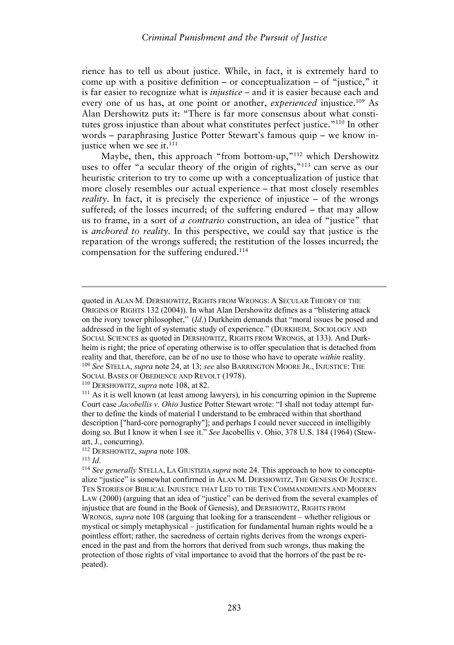rience has to tell us about justice. While, in fact, it is extremely hard to come up with a positive definition – or conceptualization – of "justice," it is far easier to recognize what is *injustice* – and it is easier because each and every one of us has, at one point or another, *experienced* injustice.<sup>109</sup> As Alan Dershowitz puts it: "There is far more consensus about what constitutes gross injustice than about what constitutes perfect justice."110 In other words – paraphrasing Justice Potter Stewart's famous quip – we know injustice when we see it. $^{111}$ 

Maybe, then, this approach "from bottom-up,"<sup>112</sup> which Dershowitz uses to offer "a secular theory of the origin of rights,"113 can serve as our heuristic criterion to try to come up with a conceptualization of justice that more closely resembles our actual experience – that most closely resembles *reality*. In fact, it is precisely the experience of injustice – of the wrongs suffered; of the losses incurred; of the suffering endured – that may allow us to frame, in a sort of *a contrario* construction, an idea of "justice" that is *anchored to reality*. In this perspective, we could say that justice is the reparation of the wrongs suffered; the restitution of the losses incurred; the compensation for the suffering endured.<sup>114</sup>

quoted in ALAN M. DERSHOWITZ, RIGHTS FROM WRONGS: A SECULAR THEORY OF THE ORIGINS OF RIGHTS 132 (2004)). In what Alan Dershowitz defines as a "blistering attack on the ivory tower philosopher," (*Id*.) Durkheim demands that "moral issues be posed and addressed in the light of systematic study of experience." (DURKHEIM, SOCIOLOGY AND SOCIAL SCIENCES as quoted in DERSHOWITZ, RIGHTS FROM WRONGS, at 133). And Durkheim is right; the price of operating otherwise is to offer speculation that is detached from reality and that, therefore, can be of no use to those who have to operate *within* reality. <sup>109</sup> *See* STELLA, *supra* note 24, at 13; *see* also BARRINGTON MOORE JR., INJUSTICE: THE SOCIAL BASES OF OBEDIENCE AND REVOLT (1978).<br><sup>110</sup> DERSHOWITZ, *supra* note 108, at 82.<br><sup>111</sup> As it is well known (at least among lawyers), in his concurring opinion in the Supreme

Court case *Jacobellis v. Ohio* Justice Potter Stewart wrote: "I shall not today attempt further to define the kinds of material I understand to be embraced within that shorthand description ["hard-core pornography"]; and perhaps I could never succeed in intelligibly doing so. But I know it when I see it." *See* Jacobellis v. Ohio, 378 U.S. 184 (1964) (Stewart, J., concurring).<br><sup>112</sup> DERSHOWITZ, *supra* note 108.

<sup>&</sup>lt;sup>113</sup> Id.<br><sup>114</sup> See generally STELLA, LA GIUSTIZIA *supra* note 24. This approach to how to conceptualize "justice" is somewhat confirmed in ALAN M. DERSHOWITZ, THE GENESIS OF JUSTICE. TEN STORIES OF BIBLICAL INJUSTICE THAT LED TO THE TEN COMMANDMENTS AND MODERN LAW (2000) (arguing that an idea of "justice" can be derived from the several examples of injustice that are found in the Book of Genesis), and DERSHOWITZ, RIGHTS FROM WRONGS, *supra* note 108 (arguing that looking for a transcendent – whether religious or mystical or simply metaphysical – justification for fundamental human rights would be a pointless effort; rather, the sacredness of certain rights derives from the wrongs experienced in the past and from the horrors that derived from such wrongs, thus making the protection of those rights of vital importance to avoid that the horrors of the past be repeated).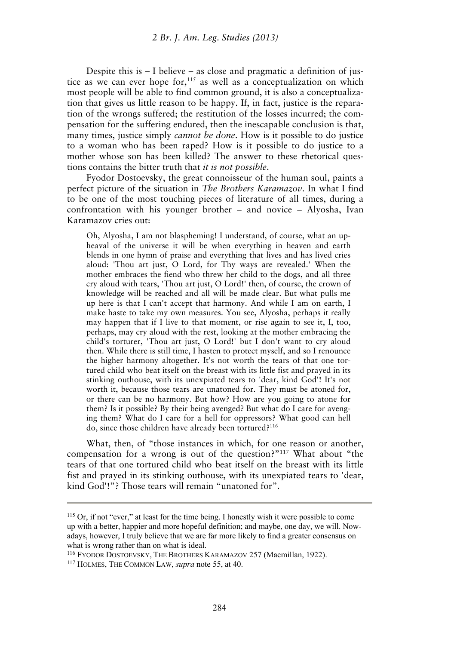Despite this is – I believe – as close and pragmatic a definition of justice as we can ever hope for,<sup>115</sup> as well as a conceptualization on which most people will be able to find common ground, it is also a conceptualization that gives us little reason to be happy. If, in fact, justice is the reparation of the wrongs suffered; the restitution of the losses incurred; the compensation for the suffering endured, then the inescapable conclusion is that, many times, justice simply *cannot be done*. How is it possible to do justice to a woman who has been raped? How is it possible to do justice to a mother whose son has been killed? The answer to these rhetorical questions contains the bitter truth that *it is not possible*.

Fyodor Dostoevsky, the great connoisseur of the human soul, paints a perfect picture of the situation in *The Brothers Karamazov*. In what I find to be one of the most touching pieces of literature of all times, during a confrontation with his younger brother – and novice – Alyosha, Ivan Karamazov cries out:

Oh, Alyosha, I am not blaspheming! I understand, of course, what an upheaval of the universe it will be when everything in heaven and earth blends in one hymn of praise and everything that lives and has lived cries aloud: 'Thou art just, O Lord, for Thy ways are revealed.' When the mother embraces the fiend who threw her child to the dogs, and all three cry aloud with tears, 'Thou art just, O Lord!' then, of course, the crown of knowledge will be reached and all will be made clear. But what pulls me up here is that I can't accept that harmony. And while I am on earth, I make haste to take my own measures. You see, Alyosha, perhaps it really may happen that if I live to that moment, or rise again to see it, I, too, perhaps, may cry aloud with the rest, looking at the mother embracing the child's torturer, 'Thou art just, O Lord!' but I don't want to cry aloud then. While there is still time, I hasten to protect myself, and so I renounce the higher harmony altogether. It's not worth the tears of that one tortured child who beat itself on the breast with its little fist and prayed in its stinking outhouse, with its unexpiated tears to 'dear, kind God'! It's not worth it, because those tears are unatoned for. They must be atoned for, or there can be no harmony. But how? How are you going to atone for them? Is it possible? By their being avenged? But what do I care for avenging them? What do I care for a hell for oppressors? What good can hell do, since those children have already been tortured?116

What, then, of "those instances in which, for one reason or another, compensation for a wrong is out of the question?"117 What about "the tears of that one tortured child who beat itself on the breast with its little fist and prayed in its stinking outhouse, with its unexpiated tears to 'dear, kind God'!"? Those tears will remain "unatoned for".

<sup>115</sup> Or, if not "ever," at least for the time being. I honestly wish it were possible to come up with a better, happier and more hopeful definition; and maybe, one day, we will. Nowadays, however, I truly believe that we are far more likely to find a greater consensus on what is wrong rather than on what is ideal.

<sup>116</sup> FYODOR DOSTOEVSKY, THE BROTHERS KARAMAZOV 257 (Macmillan, 1922). 117 HOLMES, THE COMMON LAW, *supra* note 55, at 40.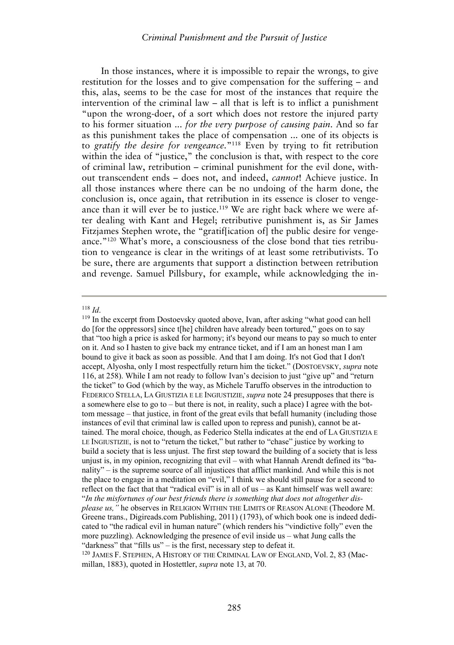In those instances, where it is impossible to repair the wrongs, to give restitution for the losses and to give compensation for the suffering – and this, alas, seems to be the case for most of the instances that require the intervention of the criminal law – all that is left is to inflict a punishment "upon the wrong-doer, of a sort which does not restore the injured party to his former situation ... *for the very purpose of causing pain*. And so far as this punishment takes the place of compensation ... one of its objects is to *gratify the desire for vengeance.*"118 Even by trying to fit retribution within the idea of "justice," the conclusion is that, with respect to the core of criminal law, retribution – criminal punishment for the evil done, without transcendent ends – does not, and indeed, *cannot*! Achieve justice. In all those instances where there can be no undoing of the harm done, the conclusion is, once again, that retribution in its essence is closer to vengeance than it will ever be to justice.<sup>119</sup> We are right back where we were after dealing with Kant and Hegel; retributive punishment is, as Sir James Fitzjames Stephen wrote, the "gratif[ication of] the public desire for vengeance."120 What's more, a consciousness of the close bond that ties retribution to vengeance is clear in the writings of at least some retributivists. To be sure, there are arguments that support a distinction between retribution and revenge. Samuel Pillsbury, for example, while acknowledging the in-

<sup>&</sup>lt;sup>118</sup> *Id.* 118 *Id*. 119 In the excerpt from Dostoevsky quoted above, Ivan, after asking "what good can hell do [for the oppressors] since t[he] children have already been tortured," goes on to say that "too high a price is asked for harmony; it's beyond our means to pay so much to enter on it. And so I hasten to give back my entrance ticket, and if I am an honest man I am bound to give it back as soon as possible. And that I am doing. It's not God that I don't accept, Alyosha, only I most respectfully return him the ticket." (DOSTOEVSKY, *supra* note 116, at 258). While I am not ready to follow Ivan's decision to just "give up" and "return the ticket" to God (which by the way, as Michele Taruffo observes in the introduction to FEDERICO STELLA, LA GIUSTIZIA E LE INGIUSTIZIE, *supra* note 24 presupposes that there is a somewhere else to go to – but there is not, in reality, such a place) I agree with the bottom message – that justice, in front of the great evils that befall humanity (including those instances of evil that criminal law is called upon to repress and punish), cannot be attained. The moral choice, though, as Federico Stella indicates at the end of LA GIUSTIZIA E LE INGIUSTIZIE, is not to "return the ticket," but rather to "chase" justice by working to build a society that is less unjust. The first step toward the building of a society that is less unjust is, in my opinion, recognizing that evil – with what Hannah Arendt defined its "banality" – is the supreme source of all injustices that afflict mankind. And while this is not the place to engage in a meditation on "evil," I think we should still pause for a second to reflect on the fact that that "radical evil" is in all of us – as Kant himself was well aware: "*In the misfortunes of our best friends there is something that does not altogether displease us,"* he observes in RELIGION WITHIN THE LIMITS OF REASON ALONE (Theodore M. Greene trans., Digireads.com Publishing, 2011) (1793), of which book one is indeed dedicated to "the radical evil in human nature" (which renders his "vindictive folly" even the more puzzling). Acknowledging the presence of evil inside us – what Jung calls the "darkness" that "fills us" – is the first, necessary step to defeat it. 120 JAMES F. STEPHEN, A HISTORY OF THE CRIMINAL LAW OF ENGLAND, Vol. 2, 83 (Mac-

millan, 1883), quoted in Hostettler, *supra* note 13, at 70.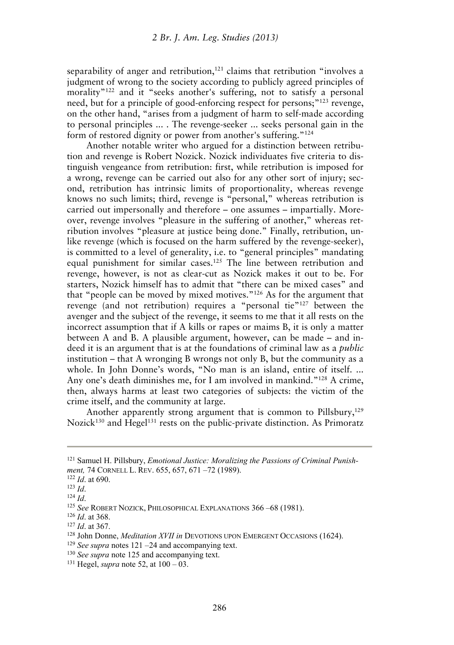separability of anger and retribution,<sup>121</sup> claims that retribution "involves a judgment of wrong to the society according to publicly agreed principles of morality<sup>"122</sup> and it "seeks another's suffering, not to satisfy a personal need, but for a principle of good-enforcing respect for persons;"123 revenge, on the other hand, "arises from a judgment of harm to self-made according to personal principles ... . The revenge-seeker ... seeks personal gain in the form of restored dignity or power from another's suffering."<sup>124</sup>

Another notable writer who argued for a distinction between retribution and revenge is Robert Nozick. Nozick individuates five criteria to distinguish vengeance from retribution: first, while retribution is imposed for a wrong, revenge can be carried out also for any other sort of injury; second, retribution has intrinsic limits of proportionality, whereas revenge knows no such limits; third, revenge is "personal," whereas retribution is carried out impersonally and therefore – one assumes – impartially. Moreover, revenge involves "pleasure in the suffering of another," whereas retribution involves "pleasure at justice being done." Finally, retribution, unlike revenge (which is focused on the harm suffered by the revenge-seeker), is committed to a level of generality, i.e. to "general principles" mandating equal punishment for similar cases.125 The line between retribution and revenge, however, is not as clear-cut as Nozick makes it out to be. For starters, Nozick himself has to admit that "there can be mixed cases" and that "people can be moved by mixed motives."126 As for the argument that revenge (and not retribution) requires a "personal tie"127 between the avenger and the subject of the revenge, it seems to me that it all rests on the incorrect assumption that if A kills or rapes or maims B, it is only a matter between A and B. A plausible argument, however, can be made – and indeed it is an argument that is at the foundations of criminal law as a *public* institution – that A wronging B wrongs not only B, but the community as a whole. In John Donne's words, "No man is an island, entire of itself. ... Any one's death diminishes me, for I am involved in mankind."128 A crime, then, always harms at least two categories of subjects: the victim of the crime itself, and the community at large.

Another apparently strong argument that is common to Pillsbury, $129$ Nozick<sup>130</sup> and Hegel<sup>131</sup> rests on the public-private distinction. As Primoratz

- 
- 

<sup>&</sup>lt;sup>121</sup> Samuel H. Pillsbury, *Emotional Justice: Moralizing the Passions of Criminal Punish-<br>ment, 74 CORNELL L. REV. 655, 657, 671 –72 (1989).* ment, 74 CORNELL L. REV. 655, 657, 671 –72 (1989).<br><sup>122</sup> *Id.* at 690.<br><sup>123</sup> *Id.*<br><sup>124</sup> *Id.*<br><sup>124</sup> *Id.*<br><sup>125</sup> *See* ROBERT NOZICK, PHILOSOPHICAL EXPLANATIONS 366 –68 (1981).<br><sup>126</sup> *Id.* at 368.<br><sup>127</sup> *Id.* at 367.<br><sup>128</sup>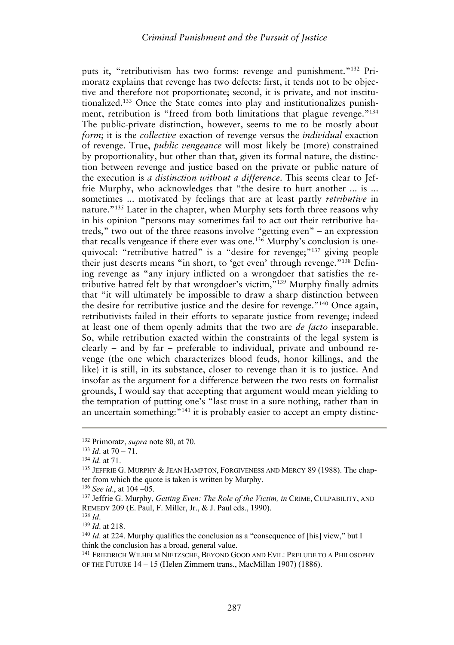puts it, "retributivism has two forms: revenge and punishment."<sup>132</sup> Primoratz explains that revenge has two defects: first, it tends not to be objective and therefore not proportionate; second, it is private, and not institutionalized.133 Once the State comes into play and institutionalizes punishment, retribution is "freed from both limitations that plague revenge."<sup>134</sup> The public-private distinction, however, seems to me to be mostly about *form*; it is the *collective* exaction of revenge versus the *individual* exaction of revenge. True, *public vengeance* will most likely be (more) constrained by proportionality, but other than that, given its formal nature, the distinction between revenge and justice based on the private or public nature of the execution is *a distinction without a difference*. This seems clear to Jeffrie Murphy, who acknowledges that "the desire to hurt another ... is ... sometimes ... motivated by feelings that are at least partly *retributive* in nature."135 Later in the chapter, when Murphy sets forth three reasons why in his opinion "persons may sometimes fail to act out their retributive hatreds," two out of the three reasons involve "getting even" – an expression that recalls vengeance if there ever was one.<sup>136</sup> Murphy's conclusion is unequivocal: "retributive hatred" is a "desire for revenge;"<sup>137</sup> giving people their just deserts means "in short, to 'get even' through revenge."138 Defining revenge as "any injury inflicted on a wrongdoer that satisfies the retributive hatred felt by that wrongdoer's victim,"<sup>139</sup> Murphy finally admits that "it will ultimately be impossible to draw a sharp distinction between the desire for retributive justice and the desire for revenge."140 Once again, retributivists failed in their efforts to separate justice from revenge; indeed at least one of them openly admits that the two are *de facto* inseparable. So, while retribution exacted within the constraints of the legal system is clearly – and by far – preferable to individual, private and unbound revenge (the one which characterizes blood feuds, honor killings, and the like) it is still, in its substance, closer to revenge than it is to justice. And insofar as the argument for a difference between the two rests on formalist grounds, I would say that accepting that argument would mean yielding to the temptation of putting one's "last trust in a sure nothing, rather than in an uncertain something:<sup>"141</sup> it is probably easier to accept an empty distinc-

<sup>1&</sup>lt;sup>32</sup> Primoratz, *supra* note 80, at 70.<br>
<sup>133</sup> *Id.* at 70 – 71.<br>
<sup>134</sup> *Id.* at 71.<br>
<sup>135</sup> JEFFRIE G. MURPHY & JEAN HAMPTON, FORGIVENESS AND MERCY 89 (1988). The chapter from which the quote is taken is written by Murphy.

<sup>136</sup> *See id*., at 104 –05. 137 Jeffrie G. Murphy, *Getting Even: The Role of the Victim, in* CRIME, CULPABILITY, AND REMEDY 209 (E. Paul, F. Miller, Jr., & J. Paul eds., 1990).<br><sup>138</sup> *Id.* 139 *Id.* at 218.<br><sup>140</sup> *Id.* at 224. Murphy qualifies the conclusion as a "consequence of [his] view," but I

think the conclusion has a broad, general value.

<sup>141</sup> FRIEDRICH WILHELM NIETZSCHE, BEYOND GOOD AND EVIL: PRELUDE TO A PHILOSOPHY OF THE FUTURE 14 – 15 (Helen Zimmern trans., MacMillan 1907) (1886).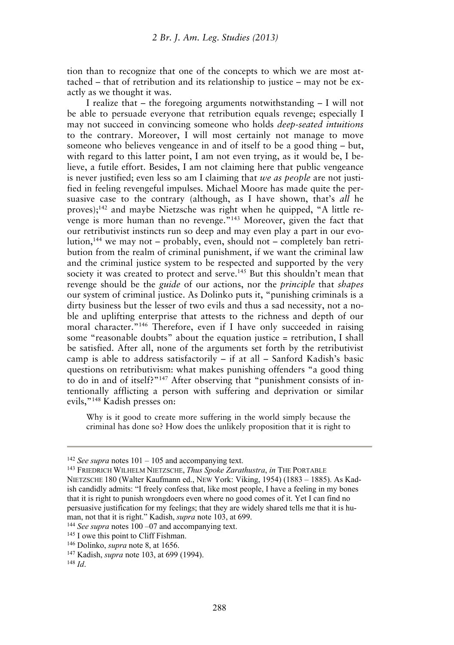tion than to recognize that one of the concepts to which we are most attached – that of retribution and its relationship to justice – may not be exactly as we thought it was.

I realize that – the foregoing arguments notwithstanding – I will not be able to persuade everyone that retribution equals revenge; especially I may not succeed in convincing someone who holds *deep-seated intuitions* to the contrary. Moreover, I will most certainly not manage to move someone who believes vengeance in and of itself to be a good thing – but, with regard to this latter point. I am not even trying, as it would be, I believe, a futile effort. Besides, I am not claiming here that public vengeance is never justified; even less so am I claiming that *we as people* are not justified in feeling revengeful impulses. Michael Moore has made quite the persuasive case to the contrary (although, as I have shown, that's *all* he proves);142 and maybe Nietzsche was right when he quipped, "A little revenge is more human than no revenge."143 Moreover, given the fact that our retributivist instincts run so deep and may even play a part in our evolution,144 we may not – probably, even, should not – completely ban retribution from the realm of criminal punishment, if we want the criminal law and the criminal justice system to be respected and supported by the very society it was created to protect and serve.<sup>145</sup> But this shouldn't mean that revenge should be the *guide* of our actions, nor the *principle* that *shapes*  our system of criminal justice. As Dolinko puts it, "punishing criminals is a dirty business but the lesser of two evils and thus a sad necessity, not a noble and uplifting enterprise that attests to the richness and depth of our moral character."<sup>146</sup> Therefore, even if I have only succeeded in raising some "reasonable doubts" about the equation justice = retribution, I shall be satisfied. After all, none of the arguments set forth by the retributivist camp is able to address satisfactorily – if at all – Sanford Kadish's basic questions on retributivism: what makes punishing offenders "a good thing to do in and of itself?"147 After observing that "punishment consists of intentionally afflicting a person with suffering and deprivation or similar evils,"148 Kadish presses on:

Why is it good to create more suffering in the world simply because the criminal has done so? How does the unlikely proposition that it is right to

<sup>&</sup>lt;sup>142</sup> *See supra* notes 101 – 105 and accompanying text.<br><sup>143</sup> FRIEDRICH WILHELM NIETZSCHE, *Thus Spoke Zarathustra*, *in* THE PORTABLE

NIETZSCHE 180 (Walter Kaufmann ed., NEW York: Viking, 1954) (1883 – 1885). As Kadish candidly admits: "I freely confess that, like most people, I have a feeling in my bones that it is right to punish wrongdoers even where no good comes of it. Yet I can find no persuasive justification for my feelings; that they are widely shared tells me that it is human, not that it is right." Kadish, *supra* note 103, at 699.<br><sup>144</sup> See supra notes 100 –07 and accompanying text.<br><sup>145</sup> I owe this point to Cliff Fishman.<br><sup>146</sup> Dolinko, *supra* note 8, at 1656.<br><sup>147</sup> Kadish, *supra* not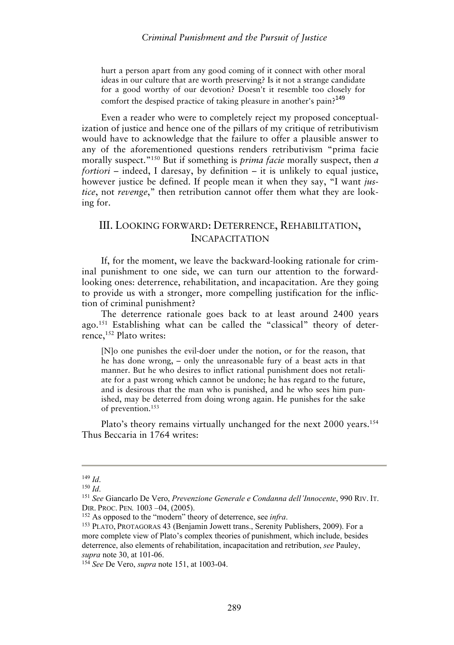hurt a person apart from any good coming of it connect with other moral ideas in our culture that are worth preserving? Is it not a strange candidate for a good worthy of our devotion? Doesn't it resemble too closely for comfort the despised practice of taking pleasure in another's pain?<sup>149</sup>

Even a reader who were to completely reject my proposed conceptualization of justice and hence one of the pillars of my critique of retributivism would have to acknowledge that the failure to offer a plausible answer to any of the aforementioned questions renders retributivism "prima facie morally suspect."150 But if something is *prima facie* morally suspect, then *a fortiori* – indeed, I daresay, by definition – it is unlikely to equal justice, however justice be defined. If people mean it when they say, "I want *justice*, not *revenge*," then retribution cannot offer them what they are looking for.

## III. LOOKING FORWARD: DETERRENCE, REHABILITATION, INCAPACITATION

If, for the moment, we leave the backward-looking rationale for criminal punishment to one side, we can turn our attention to the forwardlooking ones: deterrence, rehabilitation, and incapacitation. Are they going to provide us with a stronger, more compelling justification for the infliction of criminal punishment?

The deterrence rationale goes back to at least around 2400 years ago.151 Establishing what can be called the "classical" theory of deterrence,<sup>152</sup> Plato writes:

[N]o one punishes the evil-doer under the notion, or for the reason, that he has done wrong, – only the unreasonable fury of a beast acts in that manner. But he who desires to inflict rational punishment does not retaliate for a past wrong which cannot be undone; he has regard to the future, and is desirous that the man who is punished, and he who sees him punished, may be deterred from doing wrong again. He punishes for the sake of prevention.153

Plato's theory remains virtually unchanged for the next 2000 years.<sup>154</sup> Thus Beccaria in 1764 writes:

<sup>149</sup> *Id*. 150 *Id*. 151 *See* Giancarlo De Vero, *Prevenzione Generale e Condanna dell'Innocente*, 990 RIV. IT. DIR. PROC. PEN. 1003 –04, (2005).<br><sup>152</sup> As opposed to the "modern" theory of deterrence, see *infra*.<br><sup>153</sup> PLATO, PROTAGORAS 43 (Benjamin Jowett trans., Serenity Publishers, 2009). For a

more complete view of Plato's complex theories of punishment, which include, besides deterrence, also elements of rehabilitation, incapacitation and retribution, *see* Pauley, *supra* note 30, at 101-06. 154 *See* De Vero, *supra* note 151, at 1003-04.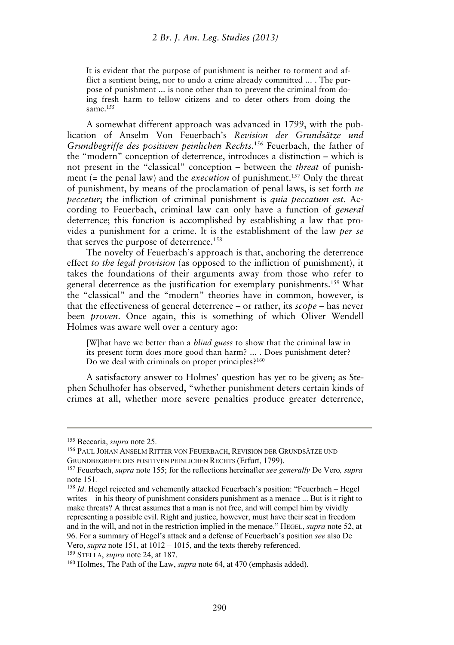It is evident that the purpose of punishment is neither to torment and afflict a sentient being, nor to undo a crime already committed ... . The purpose of punishment ... is none other than to prevent the criminal from doing fresh harm to fellow citizens and to deter others from doing the same.155

A somewhat different approach was advanced in 1799, with the publication of Anselm Von Feuerbach's *Revision der Grundsätze und Grundbegriffe des positiven peinlichen Rechts*. 156 Feuerbach, the father of the "modern" conception of deterrence, introduces a distinction – which is not present in the "classical" conception – between the *threat* of punishment (= the penal law) and the *execution* of punishment.157 Only the threat of punishment, by means of the proclamation of penal laws, is set forth *ne peccetur*; the infliction of criminal punishment is *quia peccatum est*. According to Feuerbach, criminal law can only have a function of *general*  deterrence; this function is accomplished by establishing a law that provides a punishment for a crime. It is the establishment of the law *per se* that serves the purpose of deterrence.<sup>158</sup>

The novelty of Feuerbach's approach is that, anchoring the deterrence effect *to the legal provision* (as opposed to the infliction of punishment), it takes the foundations of their arguments away from those who refer to general deterrence as the justification for exemplary punishments.159 What the "classical" and the "modern" theories have in common, however, is that the effectiveness of general deterrence – or rather, its *scope* – has never been *proven*. Once again, this is something of which Oliver Wendell Holmes was aware well over a century ago:

[W]hat have we better than a *blind guess* to show that the criminal law in its present form does more good than harm? ... . Does punishment deter? Do we deal with criminals on proper principles?<sup>160</sup>

A satisfactory answer to Holmes' question has yet to be given; as Stephen Schulhofer has observed, "whether punishment deters certain kinds of crimes at all, whether more severe penalties produce greater deterrence,

<sup>&</sup>lt;sup>155</sup> Beccaria, *supra* note 25.<br><sup>156</sup> PAUL JOHAN ANSELM RITTER VON FEUERBACH. REVISION DER GRUNDSÄTZE UND GRUNDBEGRIFFE DES POSITIVEN PEINLICHEN RECHTS (Erfurt, 1799). 157 Feuerbach, *supra* note 155; for the reflections hereinafter *see generally* De Vero*, supra*

note 151*.*

<sup>158</sup> *Id*. Hegel rejected and vehemently attacked Feuerbach's position: "Feuerbach – Hegel writes – in his theory of punishment considers punishment as a menace ... But is it right to make threats? A threat assumes that a man is not free, and will compel him by vividly representing a possible evil. Right and justice, however, must have their seat in freedom and in the will, and not in the restriction implied in the menace." HEGEL, *supra* note 52, at 96. For a summary of Hegel's attack and a defense of Feuerbach's position *see* also De Vero, *supra* note 151, at 1012 – 1015, and the texts thereby referenced.<br><sup>159</sup> STELLA, *supra* note 24, at 187.<br><sup>160</sup> Holmes, The Path of the Law, *supra* note 64, at 470 (emphasis added).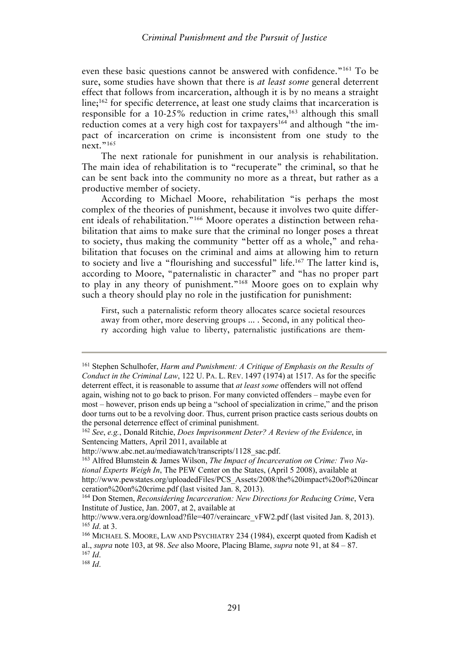even these basic questions cannot be answered with confidence."161 To be sure, some studies have shown that there is *at least some* general deterrent effect that follows from incarceration, although it is by no means a straight  $\text{line:}^{162}$  for specific deterrence, at least one study claims that incarceration is responsible for a  $10-25\%$  reduction in crime rates,<sup>163</sup> although this small reduction comes at a very high cost for taxpayers<sup>164</sup> and although "the impact of incarceration on crime is inconsistent from one study to the  $n$ ext."<sup>165</sup>

The next rationale for punishment in our analysis is rehabilitation. The main idea of rehabilitation is to "recuperate" the criminal, so that he can be sent back into the community no more as a threat, but rather as a productive member of society.

According to Michael Moore, rehabilitation "is perhaps the most complex of the theories of punishment, because it involves two quite different ideals of rehabilitation."166 Moore operates a distinction between rehabilitation that aims to make sure that the criminal no longer poses a threat to society, thus making the community "better off as a whole," and rehabilitation that focuses on the criminal and aims at allowing him to return to society and live a "flourishing and successful" life.167 The latter kind is, according to Moore, "paternalistic in character" and "has no proper part to play in any theory of punishment."168 Moore goes on to explain why such a theory should play no role in the justification for punishment:

First, such a paternalistic reform theory allocates scarce societal resources away from other, more deserving groups ... . Second, in any political theory according high value to liberty, paternalistic justifications are them-

<sup>161</sup> Stephen Schulhofer, *Harm and Punishment: A Critique of Emphasis on the Results of Conduct in the Criminal Law*, 122 U. PA. L. REV. 1497 (1974) at 1517. As for the specific deterrent effect, it is reasonable to assume that *at least some* offenders will not offend again, wishing not to go back to prison. For many convicted offenders – maybe even for most – however, prison ends up being a "school of specialization in crime," and the prison door turns out to be a revolving door. Thus, current prison practice casts serious doubts on the personal deterrence effect of criminal punishment. 162 *See*, *e.g.*, Donald Ritchie, *Does Imprisonment Deter? A Review of the Evidence*, in

Sentencing Matters, April 2011, available at http://www.abc.net.au/mediawatch/transcripts/1128 sac.pdf.

<sup>&</sup>lt;sup>163</sup> Alfred Blumstein & James Wilson, *The Impact of Incarceration on Crime: Two National Experts Weigh In*, The PEW Center on the States, (April 5 2008), available at http://www.pewstates.org/uploadedFiles/PCS\_Assets/2008/the%20impact%20of%20incar ceration%20on%20crime.pdf (last visited Jan. 8, 2013).

<sup>164</sup> Don Stemen, *Reconsidering Incarceration: New Directions for Reducing Crime*, Vera Institute of Justice, Jan. 2007, at 2, available at

http://www.vera.org/download?file=407/veraincarc\_vFW2.pdf (last visited Jan. 8, 2013).<br><sup>165</sup> *Id.* at 3. 166 MICHAEL S. MOORE, LAW AND PSYCHIATRY 234 (1984), excerpt quoted from Kadish et

al., *supra* note 103, at 98. *See* also Moore, Placing Blame, *supra* note 91, at 84 – 87. 167 *Id*. 168 *Id*.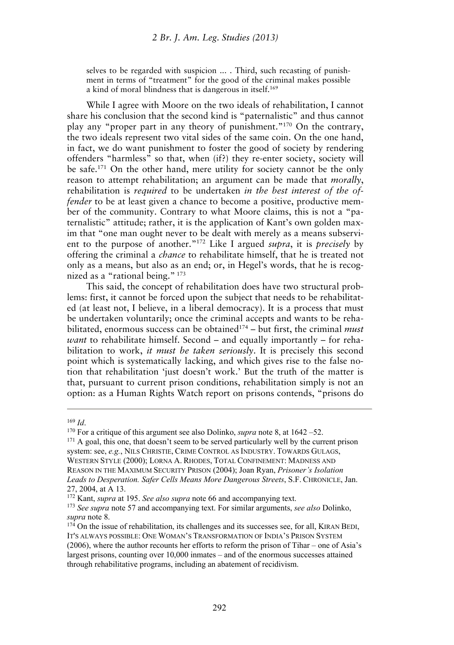selves to be regarded with suspicion ... . Third, such recasting of punishment in terms of "treatment" for the good of the criminal makes possible a kind of moral blindness that is dangerous in itself.169

While I agree with Moore on the two ideals of rehabilitation, I cannot share his conclusion that the second kind is "paternalistic" and thus cannot play any "proper part in any theory of punishment."170 On the contrary, the two ideals represent two vital sides of the same coin. On the one hand, in fact, we do want punishment to foster the good of society by rendering offenders "harmless" so that, when (if?) they re-enter society, society will be safe.171 On the other hand, mere utility for society cannot be the only reason to attempt rehabilitation; an argument can be made that *morally*, rehabilitation is *required* to be undertaken *in the best interest of the offender* to be at least given a chance to become a positive, productive member of the community. Contrary to what Moore claims, this is not a "paternalistic" attitude; rather, it is the application of Kant's own golden maxim that "one man ought never to be dealt with merely as a means subservient to the purpose of another."172 Like I argued *supra*, it is *precisely* by offering the criminal a *chance* to rehabilitate himself, that he is treated not only as a means, but also as an end; or, in Hegel's words, that he is recognized as a "rational being." 173

This said, the concept of rehabilitation does have two structural problems: first, it cannot be forced upon the subject that needs to be rehabilitated (at least not, I believe, in a liberal democracy). It is a process that must be undertaken voluntarily; once the criminal accepts and wants to be rehabilitated, enormous success can be obtained<sup>174</sup> – but first, the criminal *must want* to rehabilitate himself. Second – and equally importantly – for rehabilitation to work, *it must be taken seriously*. It is precisely this second point which is systematically lacking, and which gives rise to the false notion that rehabilitation 'just doesn't work.' But the truth of the matter is that, pursuant to current prison conditions, rehabilitation simply is not an option: as a Human Rights Watch report on prisons contends, "prisons do

<sup>&</sup>lt;sup>169</sup> *Id*. <sup>170</sup> For a critique of this argument see also Dolinko, *supra* note 8, at  $1642 - 52$ . <sup>171</sup> A goal, this one, that doesn't seem to be served particularly well by the current prison system: see, *e.g.*, NILS CHRISTIE, CRIME CONTROL AS INDUSTRY. TOWARDS GULAGS, WESTERN STYLE (2000); LORNA A. RHODES, TOTAL CONFINEMENT: MADNESS AND REASON IN THE MAXIMUM SECURITY PRISON (2004); Joan Ryan, *Prisoner's Isolation Leads to Desperation. Safer Cells Means More Dangerous Streets*, S.F. CHRONICLE, Jan. 27, 2004, at A 13.

<sup>172</sup> Kant, *supra* at 195. *See also supra* note 66 and accompanying text. 173 *See supra* note 57 and accompanying text. For similar arguments, *see also* Dolinko, *supra* note 8.<br><sup>174</sup> On the issue of rehabilitation, its challenges and its successes see, for all, KIRAN BEDI,

IT'S ALWAYS POSSIBLE: ONE WOMAN'S TRANSFORMATION OF INDIA'S PRISON SYSTEM (2006), where the author recounts her efforts to reform the prison of Tihar – one of Asia's largest prisons, counting over 10,000 inmates – and of the enormous successes attained through rehabilitative programs, including an abatement of recidivism.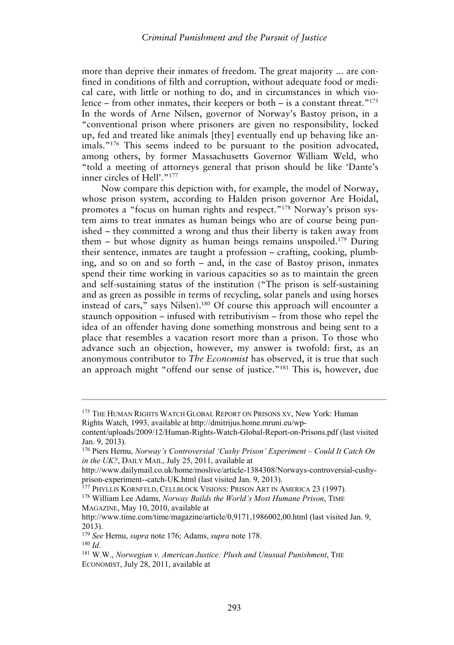more than deprive their inmates of freedom. The great majority ... are confined in conditions of filth and corruption, without adequate food or medical care, with little or nothing to do, and in circumstances in which violence – from other inmates, their keepers or both – is a constant threat.<sup>"175</sup> In the words of Arne Nilsen, governor of Norway's Bastoy prison, in a "conventional prison where prisoners are given no responsibility, locked up, fed and treated like animals [they] eventually end up behaving like animals."176 This seems indeed to be pursuant to the position advocated, among others, by former Massachusetts Governor William Weld, who "told a meeting of attorneys general that prison should be like 'Dante's inner circles of Hell'."<sup>177</sup>

Now compare this depiction with, for example, the model of Norway, whose prison system, according to Halden prison governor Are Hoidal, promotes a "focus on human rights and respect."178 Norway's prison system aims to treat inmates as human beings who are of course being punished – they committed a wrong and thus their liberty is taken away from them – but whose dignity as human beings remains unspoiled.<sup>179</sup> During their sentence, inmates are taught a profession – crafting, cooking, plumbing, and so on and so forth – and, in the case of Bastoy prison, inmates spend their time working in various capacities so as to maintain the green and self-sustaining status of the institution ("The prison is self-sustaining and as green as possible in terms of recycling, solar panels and using horses instead of cars," says Nilsen).180 Of course this approach will encounter a staunch opposition – infused with retributivism – from those who repel the idea of an offender having done something monstrous and being sent to a place that resembles a vacation resort more than a prison. To those who advance such an objection, however, my answer is twofold: first, as an anonymous contributor to *The Economist* has observed, it is true that such an approach might "offend our sense of justice."181 This is, however, due

<sup>&</sup>lt;sup>175</sup> THE HUMAN RIGHTS WATCH GLOBAL REPORT ON PRISONS XV, New York: Human Rights Watch, 1993, available at http://dmitrijus.home.mruni.eu/wp-

content/uploads/2009/12/Human-Rights-Watch-Global-Report-on-Prisons.pdf (last visited Jan. 9, 2013).

<sup>176</sup> Piers Hernu, *Norway's Controversial 'Cushy Prison' Experiment – Could It Catch On in the UK?*, DAILY MAIL, July 25, 2011, available at

http://www.dailymail.co.uk/home/moslive/article-1384308/Norways-controversial-cushyprison-experiment--catch-UK.html (last visited Jan. 9, 2013). 177 PHYLLIS KORNFELD, CELLBLOCK VISIONS: PRISON ART IN AMERICA 23 (1997). 178 William Lee Adams, *Norway Builds the World's Most Humane Prison*, TIME

MAGAZINE, May 10, 2010, available at

http://www.time.com/time/magazine/article/0,9171,1986002,00.html (last visited Jan. 9, 2013).

<sup>179</sup> *See* Hernu, *supra* note 176; Adams, *supra* note 178. 180 *Id*.

<sup>181</sup> W.W., *Norwegian v. American Justice: Plush and Unusual Punishment*, THE ECONOMIST, July 28, 2011, available at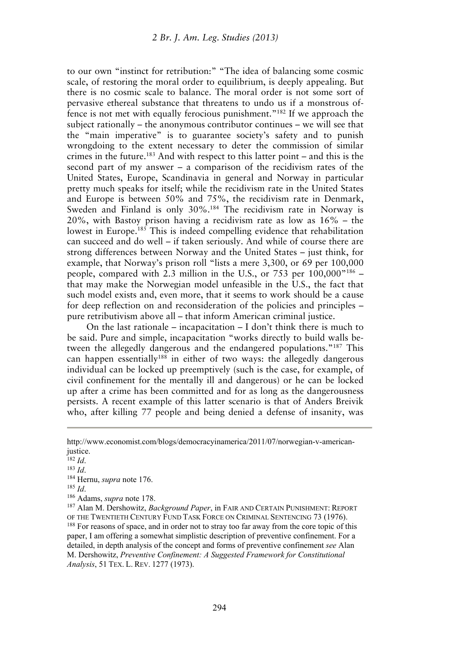to our own "instinct for retribution:" "The idea of balancing some cosmic scale, of restoring the moral order to equilibrium, is deeply appealing. But there is no cosmic scale to balance. The moral order is not some sort of pervasive ethereal substance that threatens to undo us if a monstrous offence is not met with equally ferocious punishment."182 If we approach the subject rationally – the anonymous contributor continues – we will see that the "main imperative" is to guarantee society's safety and to punish wrongdoing to the extent necessary to deter the commission of similar crimes in the future.<sup>183</sup> And with respect to this latter point – and this is the second part of my answer – a comparison of the recidivism rates of the United States, Europe, Scandinavia in general and Norway in particular pretty much speaks for itself; while the recidivism rate in the United States and Europe is between 50% and 75%, the recidivism rate in Denmark, Sweden and Finland is only 30%.184 The recidivism rate in Norway is 20%, with Bastoy prison having a recidivism rate as low as 16% – the lowest in Europe.<sup>185</sup> This is indeed compelling evidence that rehabilitation can succeed and do well – if taken seriously. And while of course there are strong differences between Norway and the United States – just think, for example, that Norway's prison roll "lists a mere 3,300, or 69 per 100,000 people, compared with 2.3 million in the U.S., or 753 per 100,000"<sup>186</sup> that may make the Norwegian model unfeasible in the U.S., the fact that such model exists and, even more, that it seems to work should be a cause for deep reflection on and reconsideration of the policies and principles – pure retributivism above all – that inform American criminal justice.

On the last rationale – incapacitation – I don't think there is much to be said. Pure and simple, incapacitation "works directly to build walls between the allegedly dangerous and the endangered populations."187 This can happen essentially<sup>188</sup> in either of two ways: the allegedly dangerous individual can be locked up preemptively (such is the case, for example, of civil confinement for the mentally ill and dangerous) or he can be locked up after a crime has been committed and for as long as the dangerousness persists. A recent example of this latter scenario is that of Anders Breivik who, after killing 77 people and being denied a defense of insanity, was

http://www.economist.com/blogs/democracyinamerica/2011/07/norwegian-v-americanjustice.

<sup>1&</sup>lt;sup>82</sup> *Id.*<br><sup>183</sup> *Id.*<br><sup>184</sup> Hernu, *supra* note 176.<br><sup>185</sup> *Id.* <sup>186</sup> Adams, *supra* note 178.<br><sup>187</sup> Alan M. Dershowitz, *Background Paper*, in FAIR AND CERTAIN PUNISHMENT: REPORT OF THE TWENTIETH CENTURY FUND TASK FORCE ON CRIMINAL SENTENCING 73 (1976).<br><sup>188</sup> For reasons of space, and in order not to stray too far away from the core topic of this paper, I am offering a somewhat simplistic description of preventive confinement. For a detailed, in depth analysis of the concept and forms of preventive confinement *see* Alan M. Dershowitz, *Preventive Confinement: A Suggested Framework for Constitutional Analysis*, 51 TEX. L. REV. 1277 (1973).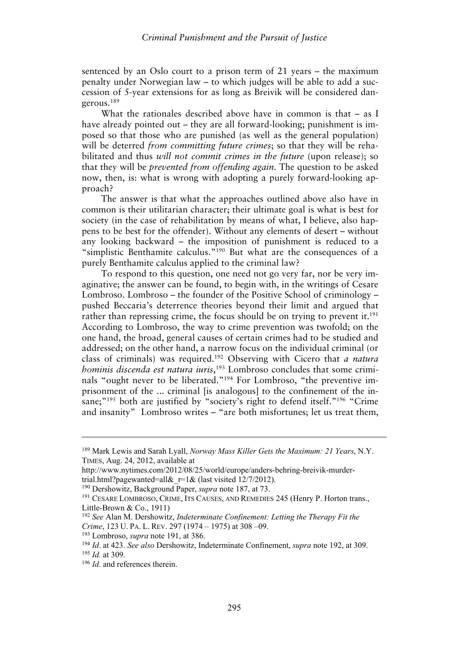sentenced by an Oslo court to a prison term of 21 years – the maximum penalty under Norwegian law – to which judges will be able to add a succession of 5-year extensions for as long as Breivik will be considered dangerous.189

What the rationales described above have in common is that – as I have already pointed out – they are all forward-looking; punishment is imposed so that those who are punished (as well as the general population) will be deterred *from committing future crimes*; so that they will be rehabilitated and thus *will not commit crimes in the future* (upon release); so that they will be *prevented from offending again*. The question to be asked now, then, is: what is wrong with adopting a purely forward-looking approach?

The answer is that what the approaches outlined above also have in common is their utilitarian character; their ultimate goal is what is best for society (in the case of rehabilitation by means of what, I believe, also happens to be best for the offender). Without any elements of desert – without any looking backward – the imposition of punishment is reduced to a "simplistic Benthamite calculus."190 But what are the consequences of a purely Benthamite calculus applied to the criminal law?

To respond to this question, one need not go very far, nor be very imaginative; the answer can be found, to begin with, in the writings of Cesare Lombroso. Lombroso – the founder of the Positive School of criminology – pushed Beccaria's deterrence theories beyond their limit and argued that rather than repressing crime, the focus should be on trying to prevent it.<sup>191</sup> According to Lombroso, the way to crime prevention was twofold; on the one hand, the broad, general causes of certain crimes had to be studied and addressed; on the other hand, a narrow focus on the individual criminal (or class of criminals) was required.192 Observing with Cicero that *a natura hominis discenda est natura iuris*, 193 Lombroso concludes that some criminals "ought never to be liberated."194 For Lombroso, "the preventive imprisonment of the ... criminal [is analogous] to the confinement of the insane;"<sup>195</sup> both are justified by "society's right to defend itself."<sup>196</sup> "Crime and insanity" Lombroso writes – "are both misfortunes; let us treat them,

<sup>189</sup> Mark Lewis and Sarah Lyall, *Norway Mass Killer Gets the Maximum: 21 Years*, N.Y. TIMES, Aug. 24, 2012, available at

http://www.nytimes.com/2012/08/25/world/europe/anders-behring-breivik-murder-

trial.html?pagewanted=all&\_r=1& (last visited 12/7/2012).<br><sup>190</sup> Dershowitz, Background Paper, *supra* note 187, at 73.<br><sup>191</sup> CESARE LOMBROSO, CRIME, ITS CAUSES, AND REMEDIES 245 (Henry P. Horton trans., Little-Brown & Co., 1911)

<sup>192</sup> *See* Alan M. Dershowitz, *Indeterminate Confinement: Letting the Therapy Fit the* 

Crime, 123 U. PA. L. REV. 297 (1974 – 1975) at 308 –09.<br><sup>193</sup> Lombroso, *supra* note 191, at 386.<br><sup>194</sup> Id. at 423. See also Dershowitz, Indeterminate Confinement, *supra* note 192, at 309.<br><sup>195</sup> Id. at 309.<br><sup>196</sup> Id. and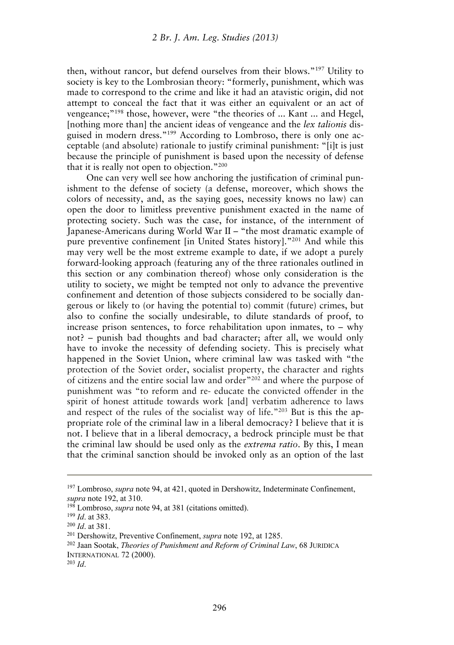then, without rancor, but defend ourselves from their blows."197 Utility to society is key to the Lombrosian theory: "formerly, punishment, which was made to correspond to the crime and like it had an atavistic origin, did not attempt to conceal the fact that it was either an equivalent or an act of vengeance;"198 those, however, were "the theories of ... Kant ... and Hegel, [nothing more than] the ancient ideas of vengeance and the *lex talionis* disguised in modern dress."199 According to Lombroso, there is only one acceptable (and absolute) rationale to justify criminal punishment: "[i]t is just because the principle of punishment is based upon the necessity of defense that it is really not open to objection."200

One can very well see how anchoring the justification of criminal punishment to the defense of society (a defense, moreover, which shows the colors of necessity, and, as the saying goes, necessity knows no law) can open the door to limitless preventive punishment exacted in the name of protecting society. Such was the case, for instance, of the internment of Japanese-Americans during World War II – "the most dramatic example of pure preventive confinement [in United States history]."201 And while this may very well be the most extreme example to date, if we adopt a purely forward-looking approach (featuring any of the three rationales outlined in this section or any combination thereof) whose only consideration is the utility to society, we might be tempted not only to advance the preventive confinement and detention of those subjects considered to be socially dangerous or likely to (or having the potential to) commit (future) crimes, but also to confine the socially undesirable, to dilute standards of proof, to increase prison sentences, to force rehabilitation upon inmates, to – why not? – punish bad thoughts and bad character; after all, we would only have to invoke the necessity of defending society. This is precisely what happened in the Soviet Union, where criminal law was tasked with "the protection of the Soviet order, socialist property, the character and rights of citizens and the entire social law and order"202 and where the purpose of punishment was "to reform and re- educate the convicted offender in the spirit of honest attitude towards work [and] verbatim adherence to laws and respect of the rules of the socialist way of life."<sup>203</sup> But is this the appropriate role of the criminal law in a liberal democracy? I believe that it is not. I believe that in a liberal democracy, a bedrock principle must be that the criminal law should be used only as the *extrema ratio*. By this, I mean that the criminal sanction should be invoked only as an option of the last

<sup>&</sup>lt;sup>197</sup> Lombroso, *supra* note 94, at 421, quoted in Dershowitz, Indeterminate Confinement, supra note 192, at 310.<br><sup>198</sup> Lombroso, *supra* note 94, at 381 (citations omitted).<br><sup>199</sup> Id. at 383.<br><sup>200</sup> Id. at 381.<br><sup>201</sup> Dershowitz, Preventive Confinement, *supra* note 192, at 1285.<br><sup>202</sup> Jaan Sootak, *Theories of* 

INTERNATIONAL 72 (2000). 203 *Id*.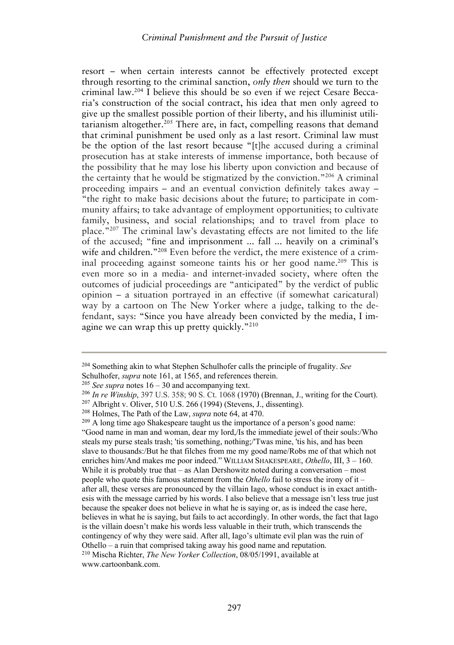resort – when certain interests cannot be effectively protected except through resorting to the criminal sanction, *only then* should we turn to the criminal law.204 I believe this should be so even if we reject Cesare Beccaria's construction of the social contract, his idea that men only agreed to give up the smallest possible portion of their liberty, and his illuminist utilitarianism altogether.<sup>205</sup> There are, in fact, compelling reasons that demand that criminal punishment be used only as a last resort. Criminal law must be the option of the last resort because "[t]he accused during a criminal prosecution has at stake interests of immense importance, both because of the possibility that he may lose his liberty upon conviction and because of the certainty that he would be stigmatized by the conviction."206 A criminal proceeding impairs – and an eventual conviction definitely takes away – "the right to make basic decisions about the future; to participate in community affairs; to take advantage of employment opportunities; to cultivate family, business, and social relationships; and to travel from place to place."207 The criminal law's devastating effects are not limited to the life of the accused; "fine and imprisonment ... fall ... heavily on a criminal's wife and children."<sup>208</sup> Even before the verdict, the mere existence of a criminal proceeding against someone taints his or her good name.<sup>209</sup> This is even more so in a media- and internet-invaded society, where often the outcomes of judicial proceedings are "anticipated" by the verdict of public opinion – a situation portrayed in an effective (if somewhat caricatural) way by a cartoon on The New Yorker where a judge, talking to the defendant, says: "Since you have already been convicted by the media, I imagine we can wrap this up pretty quickly."210

<sup>204</sup> Something akin to what Stephen Schulhofer calls the principle of frugality. *See* 

Schulhofer, *supra* note 161, at 1565, and references therein.<br><sup>205</sup> See *supra* notes 16 – 30 and accompanying text.<br><sup>206</sup> In re Winship, 397 U.S. 358; 90 S. Ct. 1068 (1970) (Brennan, J., writing for the Court).<br><sup>207</sup> Al

<sup>&</sup>quot;Good name in man and woman, dear my lord,/Is the immediate jewel of their souls:/Who steals my purse steals trash; 'tis something, nothing;/'Twas mine, 'tis his, and has been slave to thousands:/But he that filches from me my good name/Robs me of that which not enriches him/And makes me poor indeed." WILLIAM SHAKESPEARE, *Othello*, III, 3 – 160. While it is probably true that – as Alan Dershowitz noted during a conversation – most people who quote this famous statement from the *Othello* fail to stress the irony of it – after all, these verses are pronounced by the villain Iago, whose conduct is in exact antithesis with the message carried by his words. I also believe that a message isn't less true just because the speaker does not believe in what he is saying or, as is indeed the case here, believes in what he is saying, but fails to act accordingly. In other words, the fact that Iago is the villain doesn't make his words less valuable in their truth, which transcends the contingency of why they were said. After all, Iago's ultimate evil plan was the ruin of Othello – a ruin that comprised taking away his good name and reputation. 210 Mischa Richter, *The New Yorker Collection*, 08/05/1991, available at www.cartoonbank.com.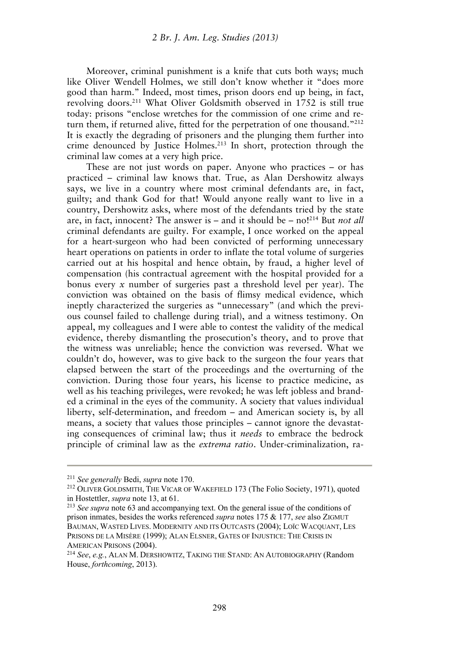Moreover, criminal punishment is a knife that cuts both ways; much like Oliver Wendell Holmes, we still don't know whether it "does more good than harm." Indeed, most times, prison doors end up being, in fact, revolving doors.211 What Oliver Goldsmith observed in 1752 is still true today: prisons "enclose wretches for the commission of one crime and return them, if returned alive, fitted for the perpetration of one thousand."<sup>212</sup> It is exactly the degrading of prisoners and the plunging them further into crime denounced by Justice Holmes.213 In short, protection through the criminal law comes at a very high price.

These are not just words on paper. Anyone who practices – or has practiced – criminal law knows that. True, as Alan Dershowitz always says, we live in a country where most criminal defendants are, in fact, guilty; and thank God for that! Would anyone really want to live in a country, Dershowitz asks, where most of the defendants tried by the state are, in fact, innocent? The answer is – and it should be – no!214 But *not all* criminal defendants are guilty. For example, I once worked on the appeal for a heart-surgeon who had been convicted of performing unnecessary heart operations on patients in order to inflate the total volume of surgeries carried out at his hospital and hence obtain, by fraud, a higher level of compensation (his contractual agreement with the hospital provided for a bonus every *x* number of surgeries past a threshold level per year). The conviction was obtained on the basis of flimsy medical evidence, which ineptly characterized the surgeries as "unnecessary" (and which the previous counsel failed to challenge during trial), and a witness testimony. On appeal, my colleagues and I were able to contest the validity of the medical evidence, thereby dismantling the prosecution's theory, and to prove that the witness was unreliable; hence the conviction was reversed. What we couldn't do, however, was to give back to the surgeon the four years that elapsed between the start of the proceedings and the overturning of the conviction. During those four years, his license to practice medicine, as well as his teaching privileges, were revoked; he was left jobless and branded a criminal in the eyes of the community. A society that values individual liberty, self-determination, and freedom – and American society is, by all means, a society that values those principles – cannot ignore the devastating consequences of criminal law; thus it *needs* to embrace the bedrock principle of criminal law as the *extrema ratio*. Under-criminalization, ra-

<sup>&</sup>lt;sup>211</sup> *See generally* Bedi, *supra* note 170.<br><sup>212</sup> OLIVER GOLDSMITH, THE VICAR OF WAKEFIELD 173 (The Folio Society, 1971), quoted in Hostettler, *supra* note 13, at 61. 213 *See supra* note 63 and accompanying text. On the general issue of the conditions of

prison inmates, besides the works referenced *supra* notes 175 & 177, *see* also ZIGMUT BAUMAN, WASTED LIVES. MODERNITY AND ITS OUTCASTS (2004); LOÏC WACQUANT, LES PRISONS DE LA MISÈRE (1999); ALAN ELSNER, GATES OF INJUSTICE: THE CRISIS IN

AMERICAN PRISONS (2004). 214 *See*, *e.g.*, ALAN M. DERSHOWITZ, TAKING THE STAND: AN AUTOBIOGRAPHY (Random House, *forthcoming*, 2013).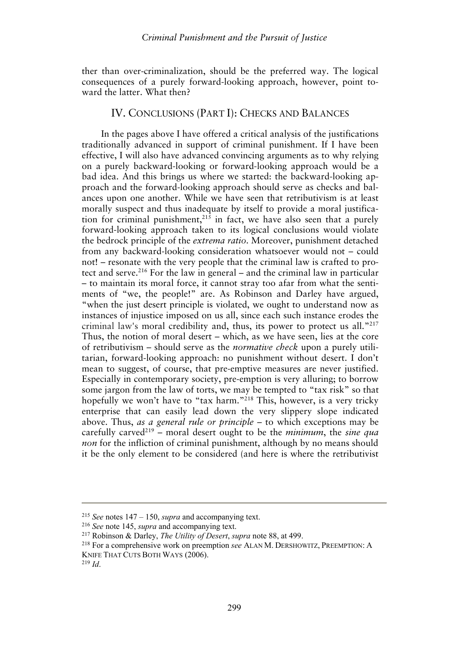ther than over-criminalization, should be the preferred way. The logical consequences of a purely forward-looking approach, however, point toward the latter. What then?

#### IV. CONCLUSIONS (PART I): CHECKS AND BALANCES

In the pages above I have offered a critical analysis of the justifications traditionally advanced in support of criminal punishment. If I have been effective, I will also have advanced convincing arguments as to why relying on a purely backward-looking or forward-looking approach would be a bad idea. And this brings us where we started: the backward-looking approach and the forward-looking approach should serve as checks and balances upon one another. While we have seen that retributivism is at least morally suspect and thus inadequate by itself to provide a moral justification for criminal punishment, $2^{15}$  in fact, we have also seen that a purely forward-looking approach taken to its logical conclusions would violate the bedrock principle of the *extrema ratio*. Moreover, punishment detached from any backward-looking consideration whatsoever would not – could not! – resonate with the very people that the criminal law is crafted to protect and serve.<sup>216</sup> For the law in general – and the criminal law in particular – to maintain its moral force, it cannot stray too afar from what the sentiments of "we, the people!" are. As Robinson and Darley have argued, "when the just desert principle is violated, we ought to understand now as instances of injustice imposed on us all, since each such instance erodes the criminal law's moral credibility and, thus, its power to protect us all."217 Thus, the notion of moral desert – which, as we have seen, lies at the core of retributivism – should serve as the *normative check* upon a purely utilitarian, forward-looking approach: no punishment without desert. I don't mean to suggest, of course, that pre-emptive measures are never justified. Especially in contemporary society, pre-emption is very alluring; to borrow some jargon from the law of torts, we may be tempted to "tax risk" so that hopefully we won't have to "tax harm."<sup>218</sup> This, however, is a very tricky enterprise that can easily lead down the very slippery slope indicated above. Thus, *as a general rule or principle* – to which exceptions may be carefully carved219 – moral desert ought to be the *minimum*, the *sine qua non* for the infliction of criminal punishment, although by no means should it be the only element to be considered (and here is where the retributivist

<sup>&</sup>lt;sup>215</sup> See notes 147 – 150, *supra* and accompanying text.<br><sup>216</sup> See note 145, *supra* and accompanying text.<br><sup>217</sup> Robinson & Darley, *The Utility of Desert*, *supra* note 88, at 499.<br><sup>218</sup> For a comprehensive work on pre KNIFE THAT CUTS BOTH WAYS (2006). 219 *Id*.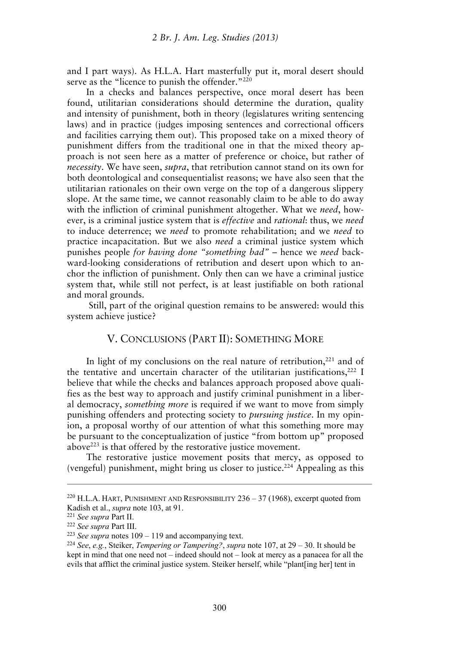and I part ways). As H.L.A. Hart masterfully put it, moral desert should serve as the "licence to punish the offender."<sup>220</sup>

In a checks and balances perspective, once moral desert has been found, utilitarian considerations should determine the duration, quality and intensity of punishment, both in theory (legislatures writing sentencing laws) and in practice (judges imposing sentences and correctional officers and facilities carrying them out). This proposed take on a mixed theory of punishment differs from the traditional one in that the mixed theory approach is not seen here as a matter of preference or choice, but rather of *necessity*. We have seen, *supra*, that retribution cannot stand on its own for both deontological and consequentialist reasons; we have also seen that the utilitarian rationales on their own verge on the top of a dangerous slippery slope. At the same time, we cannot reasonably claim to be able to do away with the infliction of criminal punishment altogether. What we *need*, however, is a criminal justice system that is *effective* and *rational*: thus, we *need* to induce deterrence; we *need* to promote rehabilitation; and we *need* to practice incapacitation. But we also *need* a criminal justice system which punishes people *for having done "something bad"* – hence we *need* backward-looking considerations of retribution and desert upon which to anchor the infliction of punishment. Only then can we have a criminal justice system that, while still not perfect, is at least justifiable on both rational and moral grounds.

 Still, part of the original question remains to be answered: would this system achieve justice?

## V. CONCLUSIONS (PART II): SOMETHING MORE

In light of my conclusions on the real nature of retribution, $221$  and of the tentative and uncertain character of the utilitarian justifications, $222$  I believe that while the checks and balances approach proposed above qualifies as the best way to approach and justify criminal punishment in a liberal democracy, *something more* is required if we want to move from simply punishing offenders and protecting society to *pursuing justice*. In my opinion, a proposal worthy of our attention of what this something more may be pursuant to the conceptualization of justice "from bottom up" proposed above223 is that offered by the restorative justice movement.

The restorative justice movement posits that mercy, as opposed to (vengeful) punishment, might bring us closer to justice.<sup>224</sup> Appealing as this

 $220$  H.L.A. HART, PUNISHMENT AND RESPONSIBILITY  $236 - 37$  (1968), excerpt quoted from Kadish et al., *supra* note 103, at 91.<br>
<sup>221</sup> See supra Part II.<br>
<sup>222</sup> See supra Part III.<br>
<sup>222</sup> See supra notes 109 – 119 and accompanying text.<br>
<sup>224</sup> See, e.g., Steiker, *Tempering or Tampering?*, *supra* note 107,

kept in mind that one need not – indeed should not – look at mercy as a panacea for all the evils that afflict the criminal justice system. Steiker herself, while "plant[ing her] tent in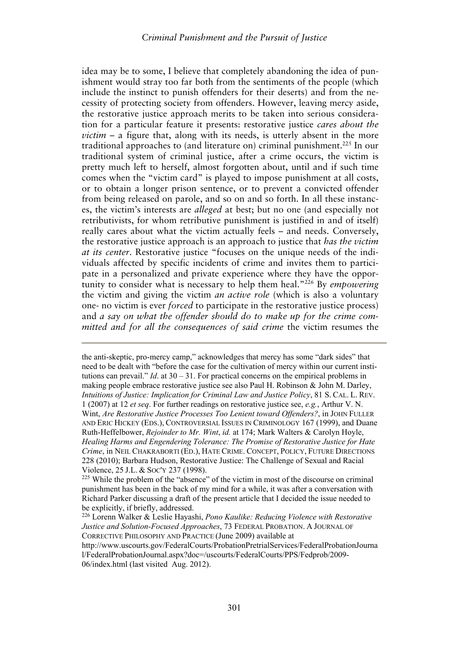idea may be to some, I believe that completely abandoning the idea of punishment would stray too far both from the sentiments of the people (which include the instinct to punish offenders for their deserts) and from the necessity of protecting society from offenders. However, leaving mercy aside, the restorative justice approach merits to be taken into serious consideration for a particular feature it presents: restorative justice *cares about the victim* – a figure that, along with its needs, is utterly absent in the more traditional approaches to (and literature on) criminal punishment.225 In our traditional system of criminal justice, after a crime occurs, the victim is pretty much left to herself, almost forgotten about, until and if such time comes when the "victim card" is played to impose punishment at all costs, or to obtain a longer prison sentence, or to prevent a convicted offender from being released on parole, and so on and so forth. In all these instances, the victim's interests are *alleged* at best; but no one (and especially not retributivists, for whom retributive punishment is justified in and of itself) really cares about what the victim actually feels – and needs. Conversely, the restorative justice approach is an approach to justice that *has the victim at its center*. Restorative justice "focuses on the unique needs of the individuals affected by specific incidents of crime and invites them to participate in a personalized and private experience where they have the opportunity to consider what is necessary to help them heal."226 By *empowering* the victim and giving the victim *an active role* (which is also a voluntary one- no victim is ever *forced* to participate in the restorative justice process) and *a say on what the offender should do to make up for the crime committed and for all the consequences of said crime* the victim resumes the

the anti-skeptic, pro-mercy camp," acknowledges that mercy has some "dark sides" that need to be dealt with "before the case for the cultivation of mercy within our current institutions can prevail." *Id.* at  $30 - 31$ . For practical concerns on the empirical problems in making people embrace restorative justice see also Paul H. Robinson & John M. Darley, *Intuitions of Justice: Implication for Criminal Law and Justice Policy*, 81 S. CAL. L. REV. 1 (2007) at 12 *et seq*. For further readings on restorative justice see, *e.g.*, Arthur V. N. Wint, *Are Restorative Justice Processes Too Lenient toward Offenders?*, in JOHN FULLER AND ERIC HICKEY (EDS.), CONTROVERSIAL ISSUES IN CRIMINOLOGY 167 (1999), and Duane Ruth-Heffelbower, *Rejoinder to Mr. Wint*, *id.* at 174; Mark Walters & Carolyn Hoyle, *Healing Harms and Engendering Tolerance: The Promise of Restorative Justice for Hate Crime*, in NEIL CHAKRABORTI (ED.), HATE CRIME. CONCEPT, POLICY, FUTURE DIRECTIONS 228 (2010); Barbara Hudson, Restorative Justice: The Challenge of Sexual and Racial

Violence, 25 J.L. & Soc'y 237 (1998).<br><sup>225</sup> While the problem of the "absence" of the victim in most of the discourse on criminal punishment has been in the back of my mind for a while, it was after a conversation with Richard Parker discussing a draft of the present article that I decided the issue needed to be explicitly, if briefly, addressed.

<sup>226</sup> Lorenn Walker & Leslie Hayashi, *Pono Kaulike: Reducing Violence with Restorative Justice and Solution-Focused Approaches*, 73 FEDERAL PROBATION. A JOURNAL OF CORRECTIVE PHILOSOPHY AND PRACTICE (June 2009) available at

http://www.uscourts.gov/FederalCourts/ProbationPretrialServices/FederalProbationJourna l/FederalProbationJournal.aspx?doc=/uscourts/FederalCourts/PPS/Fedprob/2009- 06/index.html (last visited Aug. 2012).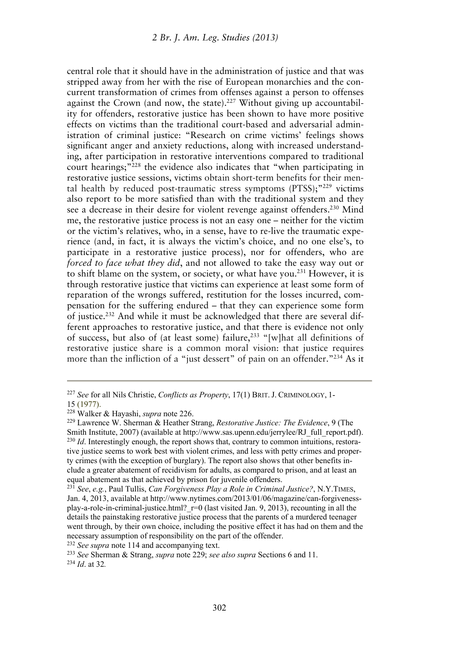central role that it should have in the administration of justice and that was stripped away from her with the rise of European monarchies and the concurrent transformation of crimes from offenses against a person to offenses against the Crown (and now, the state).<sup>227</sup> Without giving up accountability for offenders, restorative justice has been shown to have more positive effects on victims than the traditional court-based and adversarial administration of criminal justice: "Research on crime victims' feelings shows significant anger and anxiety reductions, along with increased understanding, after participation in restorative interventions compared to traditional court hearings;"228 the evidence also indicates that "when participating in restorative justice sessions, victims obtain short-term benefits for their mental health by reduced post-traumatic stress symptoms (PTSS);"229 victims also report to be more satisfied than with the traditional system and they see a decrease in their desire for violent revenge against offenders.<sup>230</sup> Mind me, the restorative justice process is not an easy one – neither for the victim or the victim's relatives, who, in a sense, have to re-live the traumatic experience (and, in fact, it is always the victim's choice, and no one else's, to participate in a restorative justice process), nor for offenders, who are *forced to face what they did*, and not allowed to take the easy way out or to shift blame on the system, or society, or what have you.231 However, it is through restorative justice that victims can experience at least some form of reparation of the wrongs suffered, restitution for the losses incurred, compensation for the suffering endured – that they can experience some form of justice.232 And while it must be acknowledged that there are several different approaches to restorative justice, and that there is evidence not only of success, but also of (at least some) failure,<sup>233</sup> "[w]hat all definitions of restorative justice share is a common moral vision: that justice requires more than the infliction of a "just dessert" of pain on an offender."<sup>234</sup> As it

<sup>227</sup> *See* for all Nils Christie, *Conflicts as Property*, 17(1) BRIT. J. CRIMINOLOGY, 1-

<sup>15 (1977).&</sup>lt;br><sup>228</sup> Walker & Hayashi, *supra* note 226.

<sup>&</sup>lt;sup>229</sup> Lawrence W. Sherman & Heather Strang, *Restorative Justice: The Evidence*, 9 (The Smith Institute, 2007) (available at http://www.sas.upenn.edu/jerrylee/RJ\_full\_report.pdf). <sup>230</sup> *Id*. Interestingly enough, the report shows that, contrary to common intuitions, restorative justice seems to work best with violent crimes, and less with petty crimes and property crimes (with the exception of burglary). The report also shows that other benefits include a greater abatement of recidivism for adults, as compared to prison, and at least an equal abatement as that achieved by prison for juvenile offenders. 231 *See*, *e.g.*, Paul Tullis, *Can Forgiveness Play a Role in Criminal Justice?*, N.Y.TIMES,

Jan. 4, 2013, available at http://www.nytimes.com/2013/01/06/magazine/can-forgivenessplay-a-role-in-criminal-justice.html?\_r=0 (last visited Jan. 9, 2013), recounting in all the details the painstaking restorative justice process that the parents of a murdered teenager went through, by their own choice, including the positive effect it has had on them and the necessary assumption of responsibility on the part of the offender.<br><sup>232</sup> See supra note 114 and accompanying text.

<sup>&</sup>lt;sup>233</sup> *See* Sherman & Strang, *supra* note 229; *see also supra* Sections 6 and 11. <sup>234</sup> *Id* at 32.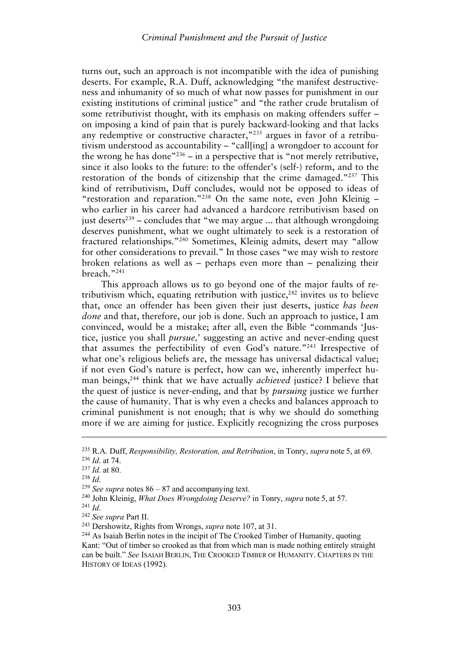turns out, such an approach is not incompatible with the idea of punishing deserts. For example, R.A. Duff, acknowledging "the manifest destructiveness and inhumanity of so much of what now passes for punishment in our existing institutions of criminal justice" and "the rather crude brutalism of some retributivist thought, with its emphasis on making offenders suffer – on imposing a kind of pain that is purely backward-looking and that lacks any redemptive or constructive character,"<sup>235</sup> argues in favor of a retributivism understood as accountability – "call[ing] a wrongdoer to account for the wrong he has done<sup> $n_{236}$ </sup> – in a perspective that is "not merely retributive, since it also looks to the future: to the offender's (self-) reform, and to the restoration of the bonds of citizenship that the crime damaged."237 This kind of retributivism, Duff concludes, would not be opposed to ideas of "restoration and reparation."238 On the same note, even John Kleinig – who earlier in his career had advanced a hardcore retributivism based on just deserts<sup>239</sup> – concludes that "we may argue ... that although wrongdoing deserves punishment, what we ought ultimately to seek is a restoration of fractured relationships."240 Sometimes, Kleinig admits, desert may "allow for other considerations to prevail." In those cases "we may wish to restore broken relations as well as – perhaps even more than – penalizing their breach."241

This approach allows us to go beyond one of the major faults of retributivism which, equating retribution with justice, $242$  invites us to believe that, once an offender has been given their just deserts, justice *has been done* and that, therefore, our job is done. Such an approach to justice, I am convinced, would be a mistake; after all, even the Bible "commands 'Justice, justice you shall *pursue,*' suggesting an active and never-ending quest that assumes the perfectibility of even God's nature."243 Irrespective of what one's religious beliefs are, the message has universal didactical value; if not even God's nature is perfect, how can we, inherently imperfect human beings,244 think that we have actually *achieved* justice? I believe that the quest of justice is never-ending, and that by *pursuing* justice we further the cause of humanity. That is why even a checks and balances approach to criminal punishment is not enough; that is why we should do something more if we are aiming for justice. Explicitly recognizing the cross purposes

<sup>&</sup>lt;sup>235</sup> R.A. Duff, *Responsibility, Restoration, and Retribution,* in Tonry, *supra* note 5, at 69.<br><sup>236</sup> *Id.* at 74.<br><sup>237</sup> *Id.* at 80.<br><sup>238</sup> *Id.*<br><sup>239</sup> *See supra* notes 86 – 87 and accompanying text.<br><sup>240</sup> John Kleinig,

Kant: "Out of timber so crooked as that from which man is made nothing entirely straight can be built." *See* ISAIAH BERLIN, THE CROOKED TIMBER OF HUMANITY. CHAPTERS IN THE HISTORY OF IDEAS (1992).